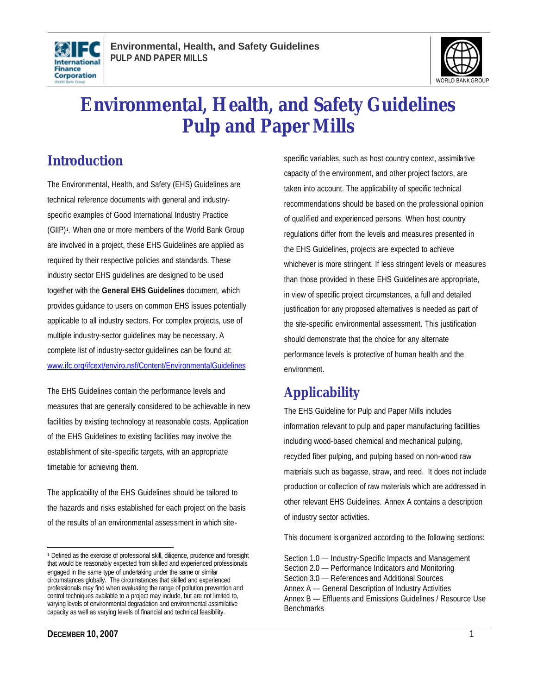



# **Environmental, Health, and Safety Guidelines Pulp and Paper Mills**

## **Introduction**

The Environmental, Health, and Safety (EHS) Guidelines are technical reference documents with general and industryspecific examples of Good International Industry Practice (GIIP)<sup>1</sup>. When one or more members of the World Bank Group are involved in a project, these EHS Guidelines are applied as required by their respective policies and standards. These industry sector EHS guidelines are designed to be used together with the **General EHS Guidelines** document, which provides guidance to users on common EHS issues potentially applicable to all industry sectors. For complex projects, use of multiple industry-sector guidelines may be necessary. A complete list of industry-sector guidelines can be found at: www.ifc.org/ifcext/enviro.nsf/Content/EnvironmentalGuidelines

The EHS Guidelines contain the performance levels and measures that are generally considered to be achievable in new facilities by existing technology at reasonable costs. Application of the EHS Guidelines to existing facilities may involve the establishment of site-specific targets, with an appropriate timetable for achieving them.

The applicability of the EHS Guidelines should be tailored to the hazards and risks established for each project on the basis of the results of an environmental assessment in which site-

specific variables, such as host country context, assimilative capacity of th e environment, and other project factors, are taken into account. The applicability of specific technical recommendations should be based on the professional opinion of qualified and experienced persons. When host country regulations differ from the levels and measures presented in the EHS Guidelines, projects are expected to achieve whichever is more stringent. If less stringent levels or measures than those provided in these EHS Guidelines are appropriate, in view of specific project circumstances, a full and detailed justification for any proposed alternatives is needed as part of the site-specific environmental assessment. This justification should demonstrate that the choice for any alternate performance levels is protective of human health and the environment.

## **Applicability**

The EHS Guideline for Pulp and Paper Mills includes information relevant to pulp and paper manufacturing facilities including wood-based chemical and mechanical pulping, recycled fiber pulping, and pulping based on non-wood raw materials such as bagasse, straw, and reed. It does not include production or collection of raw materials which are addressed in other relevant EHS Guidelines. Annex A contains a description of industry sector activities.

This document is organized according to the following sections:

 $\overline{a}$ <sup>1</sup> Defined as the exercise of professional skill, diligence, prudence and foresight that would be reasonably expected from skilled and experienced professionals engaged in the same type of undertaking under the same or similar circumstances globally. The circumstances that skilled and experienced professionals may find when evaluating the range of pollution prevention and control techniques available to a project may include, but are not limited to, varying levels of environmental degradation and environmental assimilative capacity as well as varying levels of financial and technical feasibility.

Section 1.0 — Industry-Specific Impacts and Management Section 2.0 — Performance Indicators and Monitoring Section 3.0 — References and Additional Sources Annex A — General Description of Industry Activities Annex B — Effluents and Emissions Guidelines / Resource Use **Benchmarks**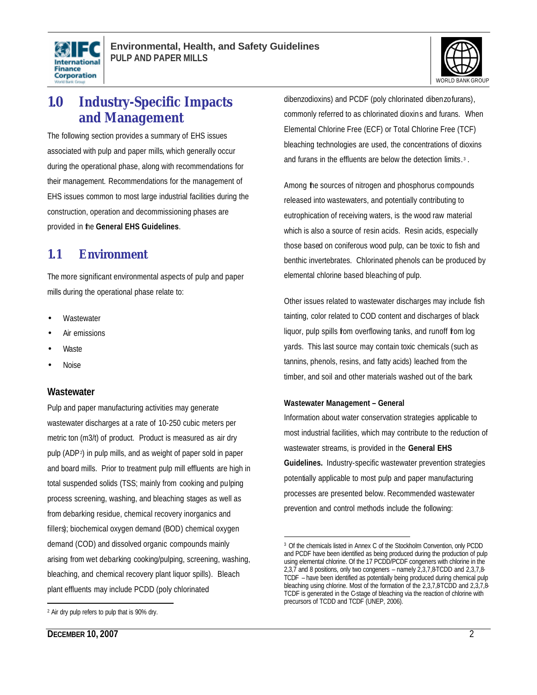



## **1.0 Industry-Specific Impacts and Management**

The following section provides a summary of EHS issues associated with pulp and paper mills, which generally occur during the operational phase, along with recommendations for their management. Recommendations for the management of EHS issues common to most large industrial facilities during the construction, operation and decommissioning phases are provided in the **General EHS Guidelines**.

## **1.1 Environment**

The more significant environmental aspects of pulp and paper mills during the operational phase relate to:

- **Wastewater**
- Air emissions
- Waste
- Noise

#### **Wastewater**

Pulp and paper manufacturing activities may generate wastewater discharges at a rate of 10-250 cubic meters per metric ton (m3/t) of product. Product is measured as air dry pulp (ADP<sup>2</sup> ) in pulp mills, and as weight of paper sold in paper and board mills. Prior to treatment pulp mill effluents are high in total suspended solids (TSS; mainly from cooking and pulping process screening, washing, and bleaching stages as well as from debarking residue, chemical recovery inorganics and fillers); biochemical oxygen demand (BOD) chemical oxygen demand (COD) and dissolved organic compounds mainly arising from wet debarking cooking/pulping, screening, washing, bleaching, and chemical recovery plant liquor spills). Bleach plant effluents may include PCDD (poly chlorinated

dibenzodioxins) and PCDF (poly chlorinated dibenzofurans), commonly referred to as chlorinated dioxins and furans. When Elemental Chlorine Free (ECF) or Total Chlorine Free (TCF) bleaching technologies are used, the concentrations of dioxins and furans in the effluents are below the detection limits. 3 .

Among the sources of nitrogen and phosphorus compounds released into wastewaters, and potentially contributing to eutrophication of receiving waters, is the wood raw material which is also a source of resin acids. Resin acids, especially those based on coniferous wood pulp, can be toxic to fish and benthic invertebrates. Chlorinated phenols can be produced by elemental chlorine based bleaching of pulp.

Other issues related to wastewater discharges may include fish tainting, color related to COD content and discharges of black liquor, pulp spills from overflowing tanks, and runoff from log yards. This last source may contain toxic chemicals (such as tannins, phenols, resins, and fatty acids) leached from the timber, and soil and other materials washed out of the bark.

#### **Wastewater Management – General**

Information about water conservation strategies applicable to most industrial facilities, which may contribute to the reduction of wastewater streams, is provided in the **General EHS Guidelines.** Industry-specific wastewater prevention strategies potentially applicable to most pulp and paper manufacturing processes are presented below. Recommended wastewater prevention and control methods include the following:

 $\overline{a}$ 

<sup>2</sup> Air dry pulp refers to pulp that is 90% dry.

 $\overline{a}$ <sup>3</sup> Of the chemicals listed in Annex C of the Stockholm Convention, only PCDD and PCDF have been identified as being produced during the production of pulp using elemental chlorine. Of the 17 PCDD/PCDF congeners with chlorine in the 2,3,7 and 8 positions, only two congeners – namely 2,3,7,8-TCDD and 2,3,7,8- TCDF – have been identified as potentially being produced during chemical pulp bleaching using chlorine. Most of the formation of the 2,3,7,8-TCDD and 2,3,7,8- TCDF is generated in the C-stage of bleaching via the reaction of chlorine with precursors of TCDD and TCDF (UNEP, 2006).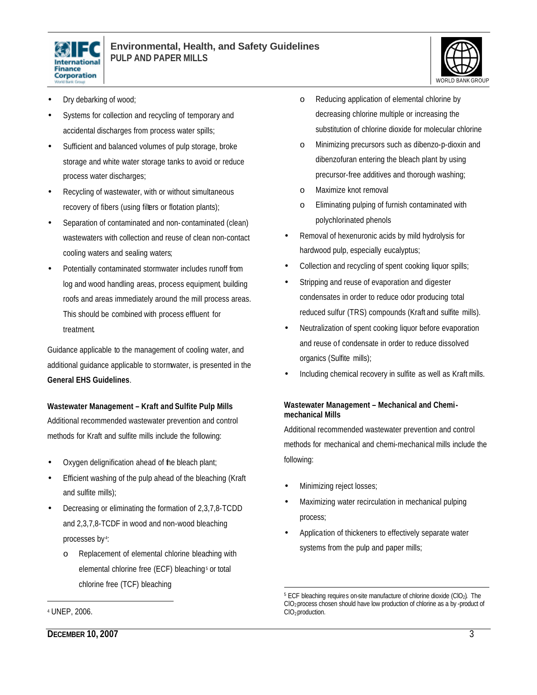



- Dry debarking of wood;
- Systems for collection and recycling of temporary and accidental discharges from process water spills;
- Sufficient and balanced volumes of pulp storage, broke storage and white water storage tanks to avoid or reduce process water discharges;
- Recycling of wastewater, with or without simultaneous recovery of fibers (using filters or flotation plants);
- Separation of contaminated and non- contaminated (clean) wastewaters with collection and reuse of clean non-contact cooling waters and sealing waters;
- Potentially contaminated stormwater includes runoff from log and wood handling areas, process equipment, building roofs and areas immediately around the mill process areas. This should be combined with process effluent for treatment.

Guidance applicable to the management of cooling water, and additional guidance applicable to stormwater, is presented in the **General EHS Guidelines**.

#### **Wastewater Management – Kraft and Sulfite Pulp Mills**

Additional recommended wastewater prevention and control methods for Kraft and sulfite mills include the following:

- Oxygen delignification ahead of the bleach plant;
- Efficient washing of the pulp ahead of the bleaching (Kraft and sulfite mills);
- Decreasing or eliminating the formation of 2,3,7,8-TCDD and 2,3,7,8-TCDF in wood and non-wood bleaching processes by <sup>4</sup> :
	- o Replacement of elemental chlorine bleaching with elemental chlorine free (ECF) bleaching<sup>5</sup> or total chlorine free (TCF) bleaching

#### <sup>4</sup> UNEP, 2006.

 $\overline{a}$ 

- o Reducing application of elemental chlorine by decreasing chlorine multiple or increasing the substitution of chlorine dioxide for molecular chlorine
- o Minimizing precursors such as dibenzo-p-dioxin and dibenzofuran entering the bleach plant by using precursor-free additives and thorough washing;
- o Maximize knot removal
- o Eliminating pulping of furnish contaminated with polychlorinated phenols
- Removal of hexenuronic acids by mild hydrolysis for hardwood pulp, especially eucalyptus;
- Collection and recycling of spent cooking liquor spills;
- Stripping and reuse of evaporation and digester condensates in order to reduce odor producing total reduced sulfur (TRS) compounds (Kraft and sulfite mills).
- Neutralization of spent cooking liquor before evaporation and reuse of condensate in order to reduce dissolved organics (Sulfite mills);
- Including chemical recovery in sulfite as well as Kraft mills.

#### **Wastewater Management – Mechanical and Chemimechanical Mills**

Additional recommended wastewater prevention and control methods for mechanical and chemi-mechanical mills include the following:

- Minimizing reject losses;
- Maximizing water recirculation in mechanical pulping process;
- Application of thickeners to effectively separate water systems from the pulp and paper mills;

 $\overline{a}$ <sup>5</sup> ECF bleaching requires on-site manufacture of chlorine dioxide (ClO<sub>2</sub>). The ClO2 process chosen should have low production of chlorine as a by -product of ClO2 production.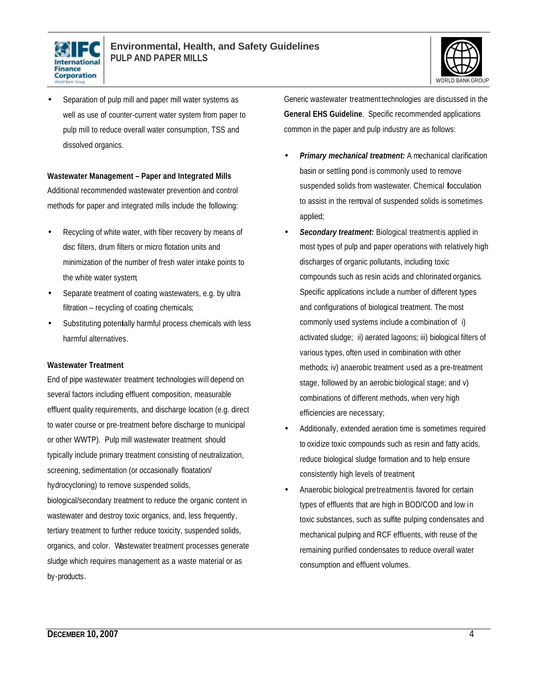



Separation of pulp mill and paper mill water systems as well as use of counter-current water system from paper to pulp mill to reduce overall water consumption, TSS and dissolved organics.

#### **Wastewater Management – Paper and Integrated Mills**

Additional recommended wastewater prevention and control methods for paper and integrated mills include the following:

- Recycling of white water, with fiber recovery by means of disc filters, drum filters or micro flotation units and minimization of the number of fresh water intake points to the white water system;
- Separate treatment of coating wastewaters, e.g. by ultra filtration – recycling of coating chemicals;
- Substituting potentially harmful process chemicals with less harmful alternatives.

#### **Wastewater Treatment**

End of pipe wastewater treatment technologies will depend on several factors including effluent composition, measurable effluent quality requirements, and discharge location (e.g. direct to water course or pre-treatment before discharge to municipal or other WWTP). Pulp mill wastewater treatment should typically include primary treatment consisting of neutralization, screening, sedimentation (or occasionally floatation/ hydrocycloning) to remove suspended solids, biological/secondary treatment to reduce the organic content in wastewater and destroy toxic organics, and, less frequently, tertiary treatment to further reduce toxicity, suspended solids,

organics, and color. Wastewater treatment processes generate sludge which requires management as a waste material or as by-products.

Generic wastewater treatment technologies are discussed in the **General EHS Guideline**. Specific recommended applications common in the paper and pulp industry are as follows:

- **Primary mechanical treatment:** A mechanical clarification basin or settling pond is commonly used to remove suspended solids from wastewater. Chemical flocculation to assist in the removal of suspended solids is sometimes applied;
- Secondary treatment: Biological treatment is applied in most types of pulp and paper operations with relatively high discharges of organic pollutants, including toxic compounds such as resin acids and chlorinated organics. Specific applications include a number of different types and configurations of biological treatment. The most commonly used systems include a combination of i) activated sludge; ii) aerated lagoons; iii) biological filters of various types, often used in combination with other methods; iv) anaerobic treatment used as a pre-treatment stage, followed by an aerobic biological stage; and v) combinations of different methods, when very high efficiencies are necessary;
- Additionally, extended aeration time is sometimes required to oxidize toxic compounds such as resin and fatty acids, reduce biological sludge formation and to help ensure consistently high levels of treatment;
- Anaerobic biological pretreatment is favored for certain types of effluents that are high in BOD/COD and low in toxic substances, such as sulfite pulping condensates and mechanical pulping and RCF effluents, with reuse of the remaining purified condensates to reduce overall water consumption and effluent volumes.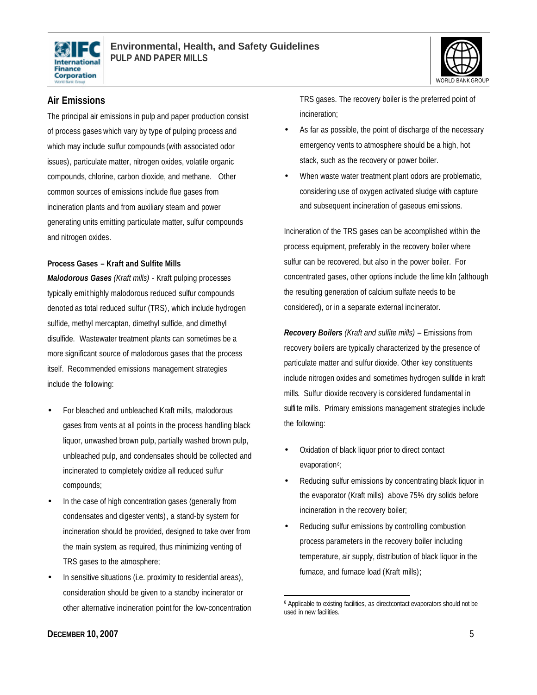



### **Air Emissions**

The principal air emissions in pulp and paper production consist of process gases which vary by type of pulping process and which may include sulfur compounds (with associated odor issues), particulate matter, nitrogen oxides, volatile organic compounds, chlorine, carbon dioxide, and methane. Other common sources of emissions include flue gases from incineration plants and from auxiliary steam and power generating units emitting particulate matter, sulfur compounds and nitrogen oxides.

#### **Process Gases – Kraft and Sulfite Mills**

*Malodorous Gases (Kraft mills)* - Kraft pulping processes typically emit highly malodorous reduced sulfur compounds denoted as total reduced sulfur (TRS), which include hydrogen sulfide, methyl mercaptan, dimethyl sulfide, and dimethyl disulfide. Wastewater treatment plants can sometimes be a more significant source of malodorous gases that the process itself. Recommended emissions management strategies include the following:

- For bleached and unbleached Kraft mills, malodorous gases from vents at all points in the process handling black liquor, unwashed brown pulp, partially washed brown pulp, unbleached pulp, and condensates should be collected and incinerated to completely oxidize all reduced sulfur compounds;
- In the case of high concentration gases (generally from condensates and digester vents), a stand-by system for incineration should be provided, designed to take over from the main system, as required, thus minimizing venting of TRS gases to the atmosphere;
- In sensitive situations (i.e. proximity to residential areas), consideration should be given to a standby incinerator or other alternative incineration point for the low-concentration

TRS gases. The recovery boiler is the preferred point of incineration;

- As far as possible, the point of discharge of the necessary emergency vents to atmosphere should be a high, hot stack, such as the recovery or power boiler.
- When waste water treatment plant odors are problematic, considering use of oxygen activated sludge with capture and subsequent incineration of gaseous emi ssions.

Incineration of the TRS gases can be accomplished within the process equipment, preferably in the recovery boiler where sulfur can be recovered, but also in the power boiler. For concentrated gases, other options include the lime kiln (although the resulting generation of calcium sulfate needs to be considered), or in a separate external incinerator.

*Recovery Boilers (Kraft and sulfite mills)* – Emissions from recovery boilers are typically characterized by the presence of particulate matter and sulfur dioxide. Other key constituents include nitrogen oxides and sometimes hydrogen sulfide in kraft mills. Sulfur dioxide recovery is considered fundamental in sulfi te mills. Primary emissions management strategies include the following:

- Oxidation of black liquor prior to direct contact evaporation<sup>6</sup>
- Reducing sulfur emissions by concentrating black liquor in the evaporator (Kraft mills) above 75% dry solids before incineration in the recovery boiler;
- Reducing sulfur emissions by controlling combustion process parameters in the recovery boiler including temperature, air supply, distribution of black liquor in the furnace, and furnace load (Kraft mills);

 $\overline{a}$ <sup>6</sup> Applicable to existing facilities, as direct contact evaporators should not be used in new facilities.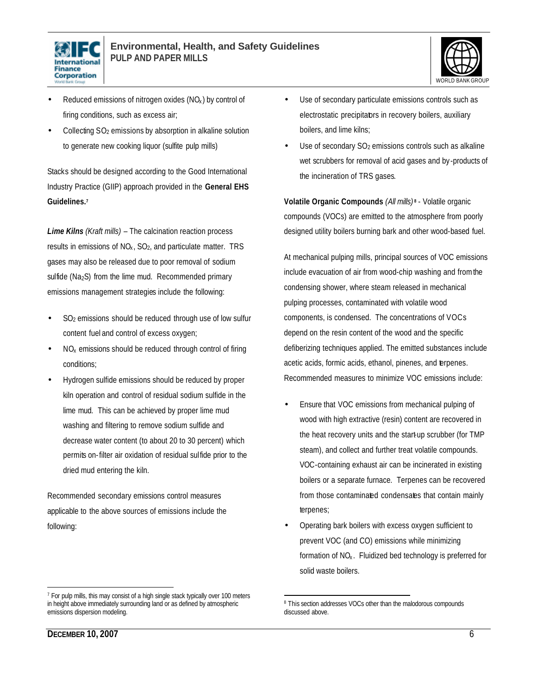



- Reduced emissions of nitrogen oxides  $(NO<sub>x</sub>)$  by control of firing conditions, such as excess air;
- Collecting SO<sub>2</sub> emissions by absorption in alkaline solution to generate new cooking liquor (sulfite pulp mills)

Stacks should be designed according to the Good International Industry Practice (GIIP) approach provided in the **General EHS Guidelines.<sup>7</sup>**

*Lime Kilns (Kraft mills)* – The calcination reaction process results in emissions of  $NO<sub>x</sub>$ ,  $SO<sub>2</sub>$ , and particulate matter. TRS gases may also be released due to poor removal of sodium sulfide ( $Na<sub>2</sub>S$ ) from the lime mud. Recommended primary emissions management strategies include the following:

- SO<sub>2</sub> emissions should be reduced through use of low sulfur content fuel and control of excess oxygen;
- $NO<sub>x</sub>$  emissions should be reduced through control of firing conditions;
- Hydrogen sulfide emissions should be reduced by proper kiln operation and control of residual sodium sulfide in the lime mud. This can be achieved by proper lime mud washing and filtering to remove sodium sulfide and decrease water content (to about 20 to 30 percent) which permits on-filter air oxidation of residual sulfide prior to the dried mud entering the kiln.

Recommended secondary emissions control measures applicable to the above sources of emissions include the following:

- Use of secondary particulate emissions controls such as electrostatic precipitators in recovery boilers, auxiliary boilers, and lime kilns;
- Use of secondary  $SO<sub>2</sub>$  emissions controls such as alkaline wet scrubbers for removal of acid gases and by-products of the incineration of TRS gases.

**Volatile Organic Compounds** *(All mills)* **<sup>8</sup>** - Volatile organic compounds (VOCs) are emitted to the atmosphere from poorly designed utility boilers burning bark and other wood-based fuel.

At mechanical pulping mills, principal sources of VOC emissions include evacuation of air from wood-chip washing and from the condensing shower, where steam released in mechanical pulping processes, contaminated with volatile wood components, is condensed. The concentrations of VOCs depend on the resin content of the wood and the specific defiberizing techniques applied. The emitted substances include acetic acids, formic acids, ethanol, pinenes, and terpenes. Recommended measures to minimize VOC emissions include:

- Ensure that VOC emissions from mechanical pulping of wood with high extractive (resin) content are recovered in the heat recovery units and the start-up scrubber (for TMP steam), and collect and further treat volatile compounds. VOC-containing exhaust air can be incinerated in existing boilers or a separate furnace. Terpenes can be recovered from those contaminated condensates that contain mainly terpenes;
- Operating bark boilers with excess oxygen sufficient to prevent VOC (and CO) emissions while minimizing formation of  $NO<sub>x</sub>$ . Fluidized bed technology is preferred for solid waste boilers.

 $\overline{a}$ 

<sup>&</sup>lt;sup>7</sup> For pulp mills, this may consist of a high single stack typically over 100 meters in height above immediately surrounding land or as defined by atmospheric emissions dispersion modeling.

 $\overline{a}$ 8 This section addresses VOCs other than the malodorous compounds discussed above.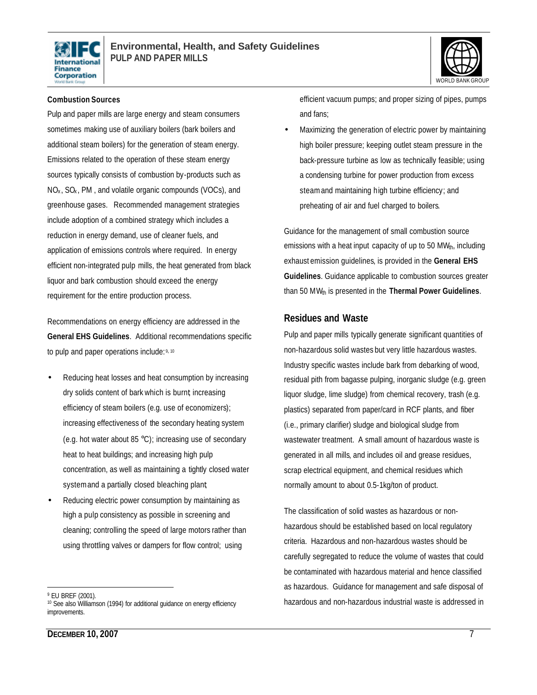



#### **Combustion Sources**

Pulp and paper mills are large energy and steam consumers sometimes making use of auxiliary boilers (bark boilers and additional steam boilers) for the generation of steam energy. Emissions related to the operation of these steam energy sources typically consists of combustion by-products such as  $NO<sub>x</sub>$ ,  $SO<sub>x</sub>$ , PM, and volatile organic compounds (VOCs), and greenhouse gases. Recommended management strategies include adoption of a combined strategy which includes a reduction in energy demand, use of cleaner fuels, and application of emissions controls where required. In energy efficient non-integrated pulp mills, the heat generated from black liquor and bark combustion should exceed the energy requirement for the entire production process.

Recommendations on energy efficiency are addressed in the **General EHS Guidelines**. Additional recommendations specific to pulp and paper operations include: 9, 10

- Reducing heat losses and heat consumption by increasing dry solids content of bark which is burnt; increasing efficiency of steam boilers (e.g. use of economizers); increasing effectiveness of the secondary heating system (e.g. hot water about 85 °C); increasing use of secondary heat to heat buildings; and increasing high pulp concentration, as well as maintaining a tightly closed water system and a partially closed bleaching plant;
- Reducing electric power consumption by maintaining as high a pulp consistency as possible in screening and cleaning; controlling the speed of large motors rather than using throttling valves or dampers for flow control; using

efficient vacuum pumps; and proper sizing of pipes, pumps and fans;

• Maximizing the generation of electric power by maintaining high boiler pressure; keeping outlet steam pressure in the back-pressure turbine as low as technically feasible; using a condensing turbine for power production from excess steam and maintaining high turbine efficiency; and preheating of air and fuel charged to boilers.

Guidance for the management of small combustion source emissions with a heat input capacity of up to 50 MW<sub>th</sub>, including exhaust emission guidelines, is provided in the **General EHS Guidelines**. Guidance applicable to combustion sources greater than 50 MW<sub>th</sub> is presented in the **Thermal Power Guidelines**.

#### **Residues and Waste**

Pulp and paper mills typically generate significant quantities of non-hazardous solid wastes but very little hazardous wastes. Industry specific wastes include bark from debarking of wood, residual pith from bagasse pulping, inorganic sludge (e.g. green liquor sludge, lime sludge) from chemical recovery, trash (e.g. plastics) separated from paper/card in RCF plants, and fiber (i.e., primary clarifier) sludge and biological sludge from wastewater treatment. A small amount of hazardous waste is generated in all mills, and includes oil and grease residues, scrap electrical equipment, and chemical residues which normally amount to about 0.5-1kg/ton of product.

The classification of solid wastes as hazardous or nonhazardous should be established based on local regulatory criteria. Hazardous and non-hazardous wastes should be carefully segregated to reduce the volume of wastes that could be contaminated with hazardous material and hence classified as hazardous. Guidance for management and safe disposal of hazardous and non-hazardous industrial waste is addressed in

 $\overline{a}$ <sup>9</sup> EU BREF (2001).

<sup>&</sup>lt;sup>10</sup> See also Williamson (1994) for additional guidance on energy efficiency improvements.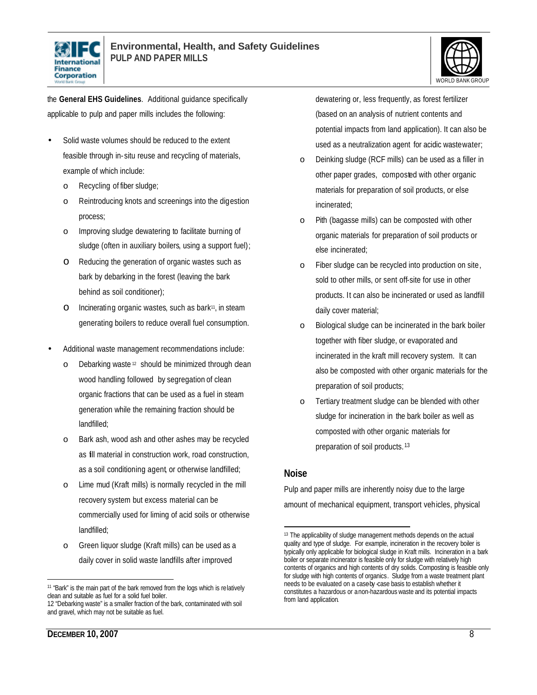



the **General EHS Guidelines**. Additional guidance specifically applicable to pulp and paper mills includes the following:

- Solid waste volumes should be reduced to the extent feasible through in- situ reuse and recycling of materials, example of which include:
	- o Recycling of fiber sludge;
	- o Reintroducing knots and screenings into the digestion process;
	- o Improving sludge dewatering to facilitate burning of sludge (often in auxiliary boilers, using a support fuel);
	- o Reducing the generation of organic wastes such as bark by debarking in the forest (leaving the bark behind as soil conditioner);
	- o Incinerating organic wastes, such as bark11, in steam generating boilers to reduce overall fuel consumption.
- Additional waste management recommendations include:
	- o Debarking waste <sup>12</sup> should be minimized through clean wood handling followed by segregation of clean organic fractions that can be used as a fuel in steam generation while the remaining fraction should be landfilled;
	- Bark ash, wood ash and other ashes may be recycled as fill material in construction work, road construction, as a soil conditioning agent, or otherwise landfilled;
	- o Lime mud (Kraft mills) is normally recycled in the mill recovery system but excess material can be commercially used for liming of acid soils or otherwise landfilled;
	- o Green liquor sludge (Kraft mills) can be used as a daily cover in solid waste landfills after improved

dewatering or, less frequently, as forest fertilizer (based on an analysis of nutrient contents and potential impacts from land application). It can also be used as a neutralization agent for acidic wastewater;

- o Deinking sludge (RCF mills) can be used as a filler in other paper grades, composted with other organic materials for preparation of soil products, or else incinerated;
- o Pith (bagasse mills) can be composted with other organic materials for preparation of soil products or else incinerated;
- o Fiber sludge can be recycled into production on site, sold to other mills, or sent off-site for use in other products. It can also be incinerated or used as landfill daily cover material;
- o Biological sludge can be incinerated in the bark boiler together with fiber sludge, or evaporated and incinerated in the kraft mill recovery system. It can also be composted with other organic materials for the preparation of soil products;
- o Tertiary treatment sludge can be blended with other sludge for incineration in the bark boiler as well as composted with other organic materials for preparation of soil products. 13

#### **Noise**

Pulp and paper mills are inherently noisy due to the large amount of mechanical equipment, transport vehicles, physical

 $\overline{a}$ <sup>11</sup> "Bark" is the main part of the bark removed from the logs which is relatively clean and suitable as fuel for a solid fuel boiler.

<sup>12 &</sup>quot;Debarking waste" is a smaller fraction of the bark, contaminated with soil and gravel, which may not be suitable as fuel.

 $\overline{a}$ <sup>13</sup> The applicability of sludge management methods depends on the actual quality and type of sludge. For example, incineration in the recovery boiler is typically only applicable for biological sludge in Kraft mills. Incineration in a bark boiler or separate incinerator is feasible only for sludge with relatively high contents of organics and high contents of dry solids. Composting is feasible only for sludge with high contents of organics. Sludge from a waste treatment plant needs to be evaluated on a caseby case basis to establish whether it constitutes a hazardous or a non-hazardous waste and its potential impacts from land application.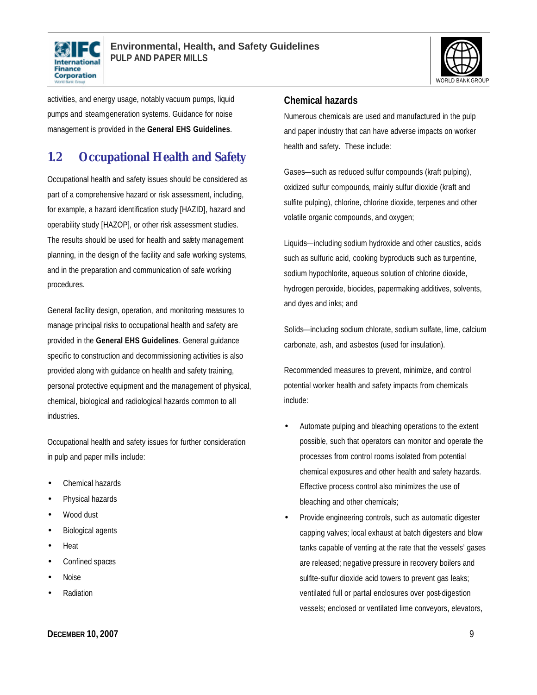



activities, and energy usage, notably vacuum pumps, liquid pumps and steam generation systems. Guidance for noise management is provided in the **General EHS Guidelines**.

## **1.2 Occupational Health and Safety**

Occupational health and safety issues should be considered as part of a comprehensive hazard or risk assessment, including, for example, a hazard identification study [HAZID], hazard and operability study [HAZOP], or other risk assessment studies. The results should be used for health and safety management planning, in the design of the facility and safe working systems, and in the preparation and communication of safe working procedures.

General facility design, operation, and monitoring measures to manage principal risks to occupational health and safety are provided in the **General EHS Guidelines**. General guidance specific to construction and decommissioning activities is also provided along with guidance on health and safety training, personal protective equipment and the management of physical, chemical, biological and radiological hazards common to all industries.

Occupational health and safety issues for further consideration in pulp and paper mills include:

- Chemical hazards
- Physical hazards
- Wood dust
- Biological agents
- Heat
- Confined spaces
- Noise
- **Radiation**

#### **Chemical hazards**

Numerous chemicals are used and manufactured in the pulp and paper industry that can have adverse impacts on worker health and safety. These include:

Gases—such as reduced sulfur compounds (kraft pulping), oxidized sulfur compounds, mainly sulfur dioxide (kraft and sulfite pulping), chlorine, chlorine dioxide, terpenes and other volatile organic compounds, and oxygen;

Liquids—including sodium hydroxide and other caustics, acids such as sulfuric acid, cooking byproducts such as turpentine, sodium hypochlorite, aqueous solution of chlorine dioxide, hydrogen peroxide, biocides, papermaking additives, solvents, and dyes and inks; and

Solids—including sodium chlorate, sodium sulfate, lime, calcium carbonate, ash, and asbestos (used for insulation).

Recommended measures to prevent, minimize, and control potential worker health and safety impacts from chemicals include:

- Automate pulping and bleaching operations to the extent possible, such that operators can monitor and operate the processes from control rooms isolated from potential chemical exposures and other health and safety hazards. Effective process control also minimizes the use of bleaching and other chemicals;
- Provide engineering controls, such as automatic digester capping valves; local exhaust at batch digesters and blow tanks capable of venting at the rate that the vessels' gases are released; negative pressure in recovery boilers and sulfite-sulfur dioxide acid towers to prevent gas leaks; ventilated full or partial enclosures over post-digestion vessels; enclosed or ventilated lime conveyors, elevators,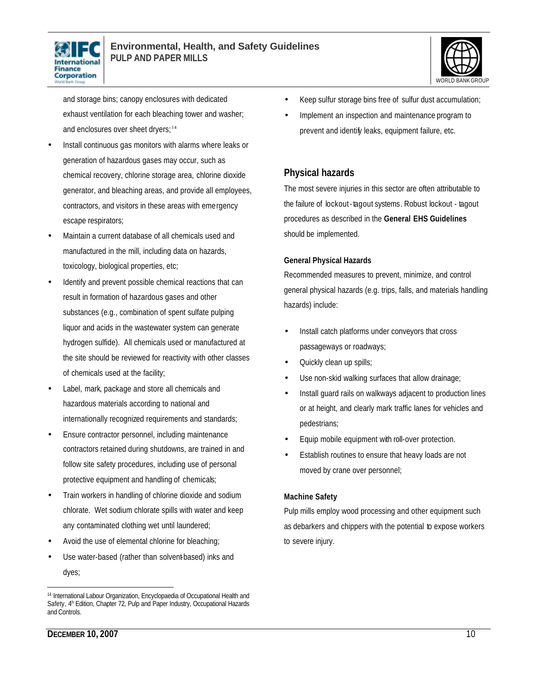



and storage bins; canopy enclosures with dedicated exhaust ventilation for each bleaching tower and washer; and enclosures over sheet dryers;<sup>14</sup>

- Install continuous gas monitors with alarms where leaks or generation of hazardous gases may occur, such as chemical recovery, chlorine storage area, chlorine dioxide generator, and bleaching areas, and provide all employees, contractors, and visitors in these areas with emergency escape respirators;
- Maintain a current database of all chemicals used and manufactured in the mill, including data on hazards, toxicology, biological properties, etc;
- Identify and prevent possible chemical reactions that can result in formation of hazardous gases and other substances (e.g., combination of spent sulfate pulping liquor and acids in the wastewater system can generate hydrogen sulfide). All chemicals used or manufactured at the site should be reviewed for reactivity with other classes of chemicals used at the facility;
- Label, mark, package and store all chemicals and hazardous materials according to national and internationally recognized requirements and standards;
- Ensure contractor personnel, including maintenance contractors retained during shutdowns, are trained in and follow site safety procedures, including use of personal protective equipment and handling of chemicals;
- Train workers in handling of chlorine dioxide and sodium chlorate. Wet sodium chlorate spills with water and keep any contaminated clothing wet until laundered;
- Avoid the use of elemental chlorine for bleaching;
- Use water-based (rather than solvent-based) inks and dyes;
- Keep sulfur storage bins free of sulfur dust accumulation;
- Implement an inspection and maintenance program to prevent and identify leaks, equipment failure, etc.

#### **Physical hazards**

The most severe injuries in this sector are often attributable to the failure of lockout-tagout systems. Robust lockout - tagout procedures as described in the **General EHS Guidelines** should be implemented.

#### **General Physical Hazards**

Recommended measures to prevent, minimize, and control general physical hazards (e.g. trips, falls, and materials handling hazards) include:

- Install catch platforms under conveyors that cross passageways or roadways;
- Quickly clean up spills;
- Use non-skid walking surfaces that allow drainage;
- Install guard rails on walkways adjacent to production lines or at height, and clearly mark traffic lanes for vehicles and pedestrians;
- Equip mobile equipment with roll-over protection.
- Establish routines to ensure that heavy loads are not moved by crane over personnel;

#### **Machine Safety**

Pulp mills employ wood processing and other equipment such as debarkers and chippers with the potential to expose workers to severe injury.

 $\overline{a}$ <sup>14</sup> International Labour Organization, Encyclopaedia of Occupational Health and Safety, 4<sup>th</sup> Edition, Chapter 72, Pulp and Paper Industry, Occupational Hazards and Controls.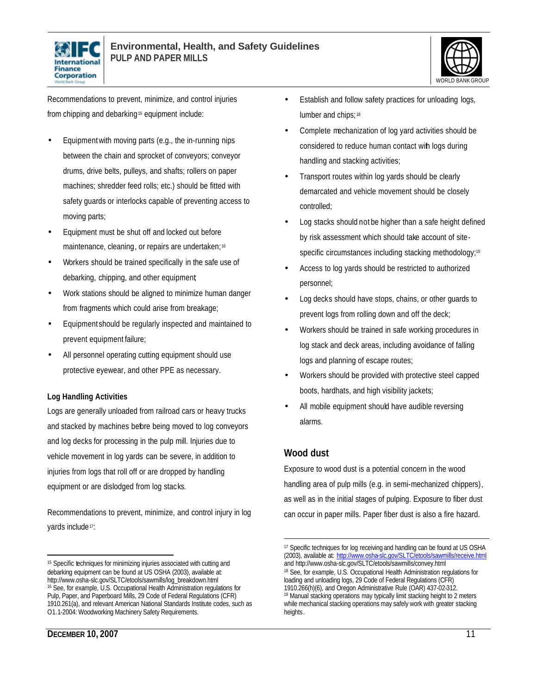



Recommendations to prevent, minimize, and control injuries from chipping and debarking<sup>15</sup> equipment include:

- Equipment with moving parts (e.g., the in-running nips between the chain and sprocket of conveyors; conveyor drums, drive belts, pulleys, and shafts; rollers on paper machines; shredder feed rolls; etc.) should be fitted with safety guards or interlocks capable of preventing access to moving parts;
- Equipment must be shut off and locked out before maintenance, cleaning, or repairs are undertaken;<sup>16</sup>
- Workers should be trained specifically in the safe use of debarking, chipping, and other equipment;
- Work stations should be aligned to minimize human danger from fragments which could arise from breakage;
- Equipment should be regularly inspected and maintained to prevent equipment failure;
- All personnel operating cutting equipment should use protective eyewear, and other PPE as necessary.

#### **Log Handling Activities**

Logs are generally unloaded from railroad cars or heavy trucks and stacked by machines before being moved to log conveyors and log decks for processing in the pulp mill. Injuries due to vehicle movement in log yards can be severe, in addition to injuries from logs that roll off or are dropped by handling equipment or are dislodged from log stacks.

Recommendations to prevent, minimize, and control injury in log yards include<sup>17</sup>:

- Establish and follow safety practices for unloading logs, lumber and chips; 18
- Complete mechanization of log yard activities should be considered to reduce human contact with logs during handling and stacking activities;
- Transport routes within log yards should be clearly demarcated and vehicle movement should be closely controlled;
- Log stacks should not be higher than a safe height defined by risk assessment which should take account of sitespecific circumstances including stacking methodology;<sup>19</sup>
- Access to log yards should be restricted to authorized personnel;
- Log decks should have stops, chains, or other guards to prevent logs from rolling down and off the deck;
- Workers should be trained in safe working procedures in log stack and deck areas, including avoidance of falling logs and planning of escape routes;
- Workers should be provided with protective steel capped boots, hardhats, and high visibility jackets;
- All mobile equipment should have audible reversing alarms.

### **Wood dust**

 $\overline{a}$ 

Exposure to wood dust is a potential concern in the wood handling area of pulp mills (e.g. in semi-mechanized chippers), as well as in the initial stages of pulping. Exposure to fiber dust can occur in paper mills. Paper fiber dust is also a fire hazard.

 $\overline{a}$ 

<sup>&</sup>lt;sup>15</sup> Specific techniques for minimizing injuries associated with cutting and debarking equipment can be found at US OSHA (2003), available at: http://www.osha-slc.gov/SLTC/etools/sawmills/log\_breakdown.html <sup>16</sup> See, for example, U.S. Occupational Health Administration regulations for Pulp, Paper, and Paperboard Mills, 29 Code of Federal Regulations (CFR) 1910.261(a), and relevant American National Standards Institute codes, such as O1.1-2004: Woodworking Machinery Safety Requirements.

<sup>17</sup> Specific techniques for log receiving and handling can be found at US OSHA (2003), available at: http://www.osha-slc.gov/SLTC/etools/sawmills/receive.html and http://www.osha-slc.gov/SLTC/etools/sawmills/convey.html <sup>18</sup> See, for example, U.S. Occupational Health Administration regulations for loading and unloading logs, 29 Code of Federal Regulations (CFR) 1910.266(h)(6), and Oregon Administrative Rule (OAR) 437-02-312. <sup>19</sup> Manual stacking operations may typically limit stacking height to 2 meters while mechanical stacking operations may safely work with greater stacking heights.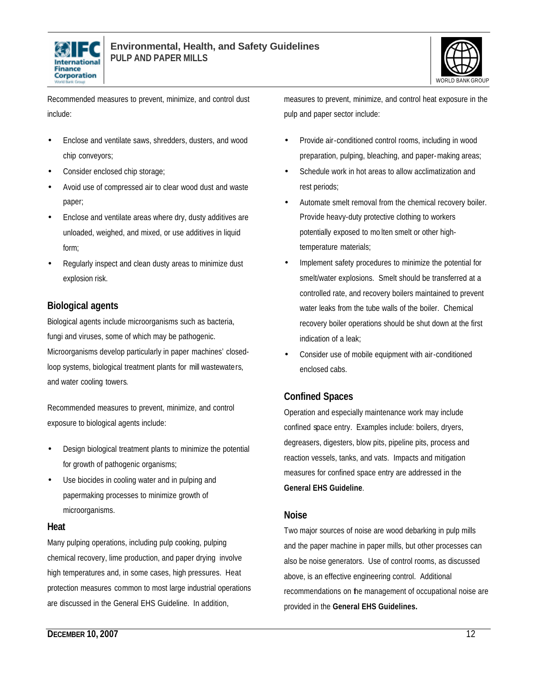



Recommended measures to prevent, minimize, and control dust include:

- Enclose and ventilate saws, shredders, dusters, and wood chip conveyors;
- Consider enclosed chip storage;
- Avoid use of compressed air to clear wood dust and waste paper;
- Enclose and ventilate areas where dry, dusty additives are unloaded, weighed, and mixed, or use additives in liquid form;
- Regularly inspect and clean dusty areas to minimize dust explosion risk.

### **Biological agents**

Biological agents include microorganisms such as bacteria, fungi and viruses, some of which may be pathogenic. Microorganisms develop particularly in paper machines' closedloop systems, biological treatment plants for mill wastewaters, and water cooling towers.

Recommended measures to prevent, minimize, and control exposure to biological agents include:

- Design biological treatment plants to minimize the potential for growth of pathogenic organisms;
- Use biocides in cooling water and in pulping and papermaking processes to minimize growth of microorganisms.

#### **Heat**

Many pulping operations, including pulp cooking, pulping chemical recovery, lime production, and paper drying involve high temperatures and, in some cases, high pressures. Heat protection measures common to most large industrial operations are discussed in the General EHS Guideline. In addition,

- Provide air-conditioned control rooms, including in wood preparation, pulping, bleaching, and paper-making areas;
- Schedule work in hot areas to allow acclimatization and rest periods;
- Automate smelt removal from the chemical recovery boiler. Provide heavy-duty protective clothing to workers potentially exposed to mo lten smelt or other hightemperature materials;
- Implement safety procedures to minimize the potential for smelt/water explosions. Smelt should be transferred at a controlled rate, and recovery boilers maintained to prevent water leaks from the tube walls of the boiler. Chemical recovery boiler operations should be shut down at the first indication of a leak;
- Consider use of mobile equipment with air-conditioned enclosed cabs.

### **Confined Spaces**

Operation and especially maintenance work may include confined space entry. Examples include: boilers, dryers, degreasers, digesters, blow pits, pipeline pits, process and reaction vessels, tanks, and vats. Impacts and mitigation measures for confined space entry are addressed in the **General EHS Guideline**.

#### **Noise**

Two major sources of noise are wood debarking in pulp mills and the paper machine in paper mills, but other processes can also be noise generators. Use of control rooms, as discussed above, is an effective engineering control. Additional recommendations on the management of occupational noise are provided in the **General EHS Guidelines.**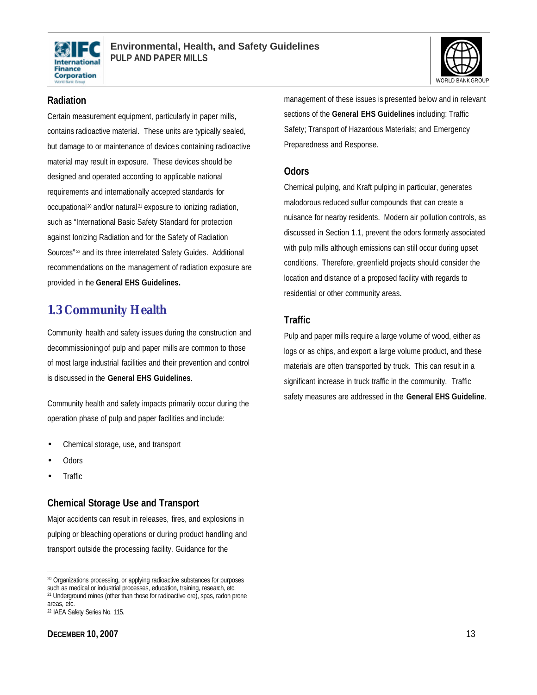



#### **Radiation**

Certain measurement equipment, particularly in paper mills, contains radioactive material. These units are typically sealed, but damage to or maintenance of devices containing radioactive material may result in exposure. These devices should be designed and operated according to applicable national requirements and internationally accepted standards for occupational<sup>20</sup> and/or natural<sup>21</sup> exposure to ionizing radiation, such as "International Basic Safety Standard for protection against Ionizing Radiation and for the Safety of Radiation Sources" <sup>22</sup> and its three interrelated Safety Guides. Additional recommendations on the management of radiation exposure are provided in the **General EHS Guidelines.**

## **1.3 Community Health**

Community health and safety issues during the construction and decommissioning of pulp and paper mills are common to those of most large industrial facilities and their prevention and control is discussed in the **General EHS Guidelines**.

Community health and safety impacts primarily occur during the operation phase of pulp and paper facilities and include:

- Chemical storage, use, and transport
- Odors
- Traffic

#### **Chemical Storage Use and Transport**

Major accidents can result in releases, fires, and explosions in pulping or bleaching operations or during product handling and transport outside the processing facility. Guidance for the

management of these issues is presented below and in relevant sections of the **General EHS Guidelines** including: Traffic Safety; Transport of Hazardous Materials; and Emergency Preparedness and Response.

#### **Odors**

Chemical pulping, and Kraft pulping in particular, generates malodorous reduced sulfur compounds that can create a nuisance for nearby residents. Modern air pollution controls, as discussed in Section 1.1, prevent the odors formerly associated with pulp mills although emissions can still occur during upset conditions. Therefore, greenfield projects should consider the location and distance of a proposed facility with regards to residential or other community areas.

### **Traffic**

Pulp and paper mills require a large volume of wood, either as logs or as chips, and export a large volume product, and these materials are often transported by truck. This can result in a significant increase in truck traffic in the community. Traffic safety measures are addressed in the **General EHS Guideline**.

 $\overline{a}$ <sup>20</sup> Organizations processing, or applying radioactive substances for purposes such as medical or industrial processes, education, training, research, etc.

<sup>&</sup>lt;sup>21</sup> Underground mines (other than those for radioactive ore), spas, radon prone areas, etc.

<sup>22</sup> IAEA Safety Series No. 115.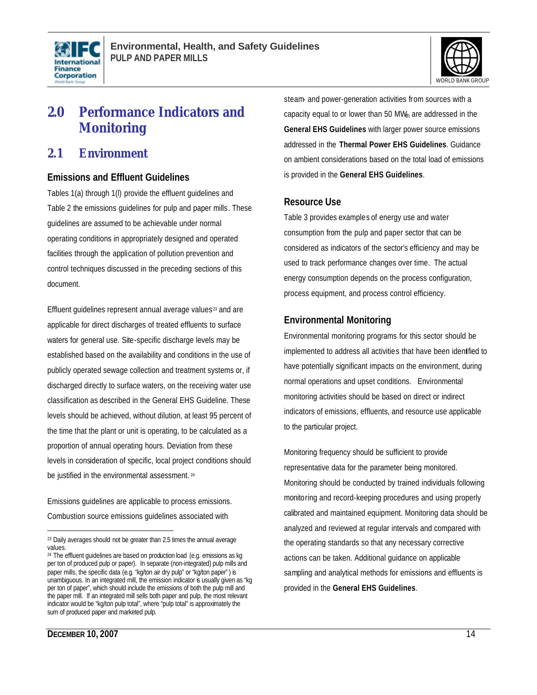



## **2.0 Performance Indicators and Monitoring**

### **2.1 Environment**

#### **Emissions and Effluent Guidelines**

Tables 1(a) through 1(l) provide the effluent guidelines and Table 2 the emissions guidelines for pulp and paper mills. These guidelines are assumed to be achievable under normal operating conditions in appropriately designed and operated facilities through the application of pollution prevention and control techniques discussed in the preceding sections of this document.

Effluent quidelines represent annual average values<sup>23</sup> and are applicable for direct discharges of treated effluents to surface waters for general use. Site-specific discharge levels may be established based on the availability and conditions in the use of publicly operated sewage collection and treatment systems or, if discharged directly to surface waters, on the receiving water use classification as described in the General EHS Guideline. These levels should be achieved, without dilution, at least 95 percent of the time that the plant or unit is operating, to be calculated as a proportion of annual operating hours. Deviation from these levels in consideration of specific, local project conditions should be justified in the environmental assessment. <sup>24</sup>

Emissions guidelines are applicable to process emissions. Combustion source emissions guidelines associated with

steam- and power-generation activities from sources with a capacity equal to or lower than 50 MWh are addressed in the **General EHS Guidelines** with larger power source emissions addressed in the **Thermal Power EHS Guidelines**. Guidance on ambient considerations based on the total load of emissions is provided in the **General EHS Guidelines**.

#### **Resource Use**

Table 3 provides examples of energy use and water consumption from the pulp and paper sector that can be considered as indicators of the sector's efficiency and may be used to track performance changes over time. The actual energy consumption depends on the process configuration, process equipment, and process control efficiency.

#### **Environmental Monitoring**

Environmental monitoring programs for this sector should be implemented to address all activities that have been identified to have potentially significant impacts on the environment, during normal operations and upset conditions. Environmental monitoring activities should be based on direct or indirect indicators of emissions, effluents, and resource use applicable to the particular project.

Monitoring frequency should be sufficient to provide representative data for the parameter being monitored. Monitoring should be conducted by trained individuals following monitoring and record-keeping procedures and using properly calibrated and maintained equipment. Monitoring data should be analyzed and reviewed at regular intervals and compared with the operating standards so that any necessary corrective actions can be taken. Additional guidance on applicable sampling and analytical methods for emissions and effluents is provided in the **General EHS Guidelines**.

 $\overline{a}$ 

<sup>&</sup>lt;sup>23</sup> Daily averages should not be greater than 2.5 times the annual average values.

<sup>&</sup>lt;sup>24</sup> The effluent guidelines are based on production load (e.g. emissions as kg per ton of produced pulp or paper). In separate (non-integrated) pulp mills and paper mills, the specific data (e.g. "kg/ton air dry pulp" or "kg/ton paper") is unambiguous. In an integrated mill, the emission indicator is usually given as "kg per ton of paper", which should include the emissions of both the pulp mill and the paper mill. If an integrated mill sells both paper and pulp, the most relevant indicator would be "kg/ton pulp total", where "pulp total" is approximately the sum of produced paper and marketed pulp.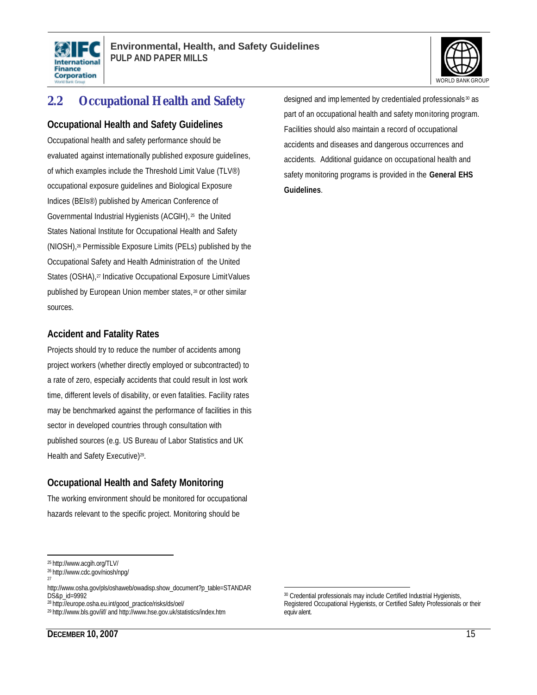



## **2.2 Occupational Health and Safety**

#### **Occupational Health and Safety Guidelines**

Occupational health and safety performance should be evaluated against internationally published exposure guidelines, of which examples include the Threshold Limit Value (TLV®) occupational exposure guidelines and Biological Exposure Indices (BEIs®) published by American Conference of Governmental Industrial Hygienists (ACGIH), <sup>25</sup> the United States National Institute for Occupational Health and Safety (NIOSH),26 Permissible Exposure Limits (PELs) published by the Occupational Safety and Health Administration of the United States (OSHA),<sup>27</sup> Indicative Occupational Exposure Limit Values published by European Union member states, <sup>28</sup> or other similar sources.

#### **Accident and Fatality Rates**

Projects should try to reduce the number of accidents among project workers (whether directly employed or subcontracted) to a rate of zero, especially accidents that could result in lost work time, different levels of disability, or even fatalities. Facility rates may be benchmarked against the performance of facilities in this sector in developed countries through consultation with published sources (e.g. US Bureau of Labor Statistics and UK Health and Safety Executive)<sup>29</sup>.

### **Occupational Health and Safety Monitoring**

The working environment should be monitored for occupational hazards relevant to the specific project. Monitoring should be

designed and imp lemented by credentialed professionals <sup>30</sup> as part of an occupational health and safety monitoring program. Facilities should also maintain a record of occupational accidents and diseases and dangerous occurrences and accidents. Additional guidance on occupational health and safety monitoring programs is provided in the **General EHS Guidelines**.

 $\overline{a}$ <sup>25</sup> http://www.acgih.org/TLV/

<sup>26</sup> http://www.cdc.gov/niosh/npg/

<sup>27</sup>

http://www.osha.gov/pls/oshaweb/owadisp.show\_document?p\_table=STANDAR DS&p\_id=9992

<sup>28</sup> http://europe.osha.eu.int/good\_practice/risks/ds/oel/

<sup>29</sup> http://www.bls.gov/iif/ and http://www.hse.gov.uk/statistics/index.htm

 $\overline{a}$ <sup>30</sup> Credential professionals may include Certified Industrial Hygienists, Registered Occupational Hygienists, or Certified Safety Professionals or their equiv alent.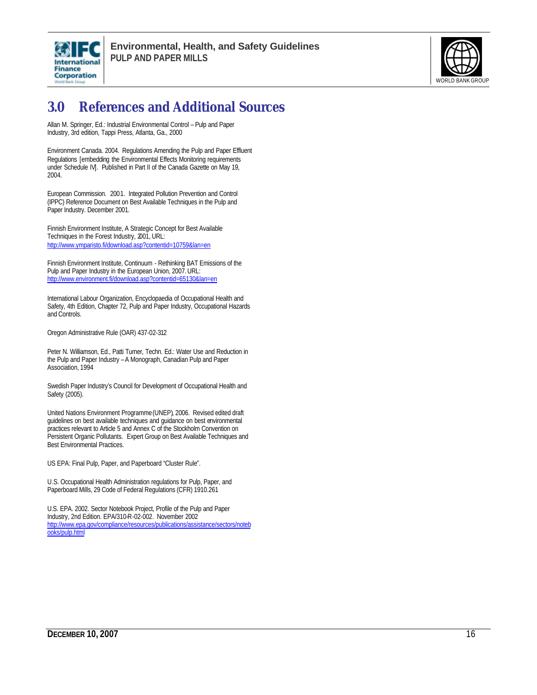



## **3.0 References and Additional Sources**

Allan M. Springer, Ed.: Industrial Environmental Control – Pulp and Paper Industry, 3rd edition, Tappi Press, Atlanta, Ga., 2000

Environment Canada. 2004. Regulations Amending the Pulp and Paper Effluent Regulations [embedding the Environmental Effects Monitoring requirements under Schedule IV]. Published in Part II of the Canada Gazette on May 19, 2004.

European Commission. 2001. Integrated Pollution Prevention and Control (IPPC) Reference Document on Best Available Techniques in the Pulp and Paper Industry. December 2001.

Finnish Environment Institute, A Strategic Concept for Best Available Techniques in the Forest Industry, 2001, URL: http://www.ymparisto.fi/download.asp?contentid=10759&lan=en

Finnish Environment Institute, Continuum - Rethinking BAT Emissions of the Pulp and Paper Industry in the European Union, 2007. URL: http://www.environment.fi/download.asp?contentid=65130&lan=en

International Labour Organization, Encyclopaedia of Occupational Health and Safety, 4th Edition, Chapter 72, Pulp and Paper Industry, Occupational Hazards and Controls.

Oregon Administrative Rule (OAR) 437-02-312

Peter N. Williamson, Ed., Patti Turner, Techn. Ed.: Water Use and Reduction in the Pulp and Paper Industry – A Monograph, Canadian Pulp and Paper Association, 1994

Swedish Paper Industry's Council for Development of Occupational Health and Safety (2005).

United Nations Environment Programme (UNEP), 2006. Revised edited draft guidelines on best available techniques and guidance on best environmental practices relevant to Article 5 and Annex C of the Stockholm Convention on Persistent Organic Pollutants. Expert Group on Best Available Techniques and Best Environmental Practices.

US EPA: Final Pulp, Paper, and Paperboard "Cluster Rule".

U.S. Occupational Health Administration regulations for Pulp, Paper, and Paperboard Mills, 29 Code of Federal Regulations (CFR) 1910.261

U.S. EPA. 2002. Sector Notebook Project, Profile of the Pulp and Paper Industry, 2nd Edition. EPA/310-R-02-002. November 2002 http://www.epa.gov/compliance/resources/publications/assistance/sectors/noteb ooks/pulp.html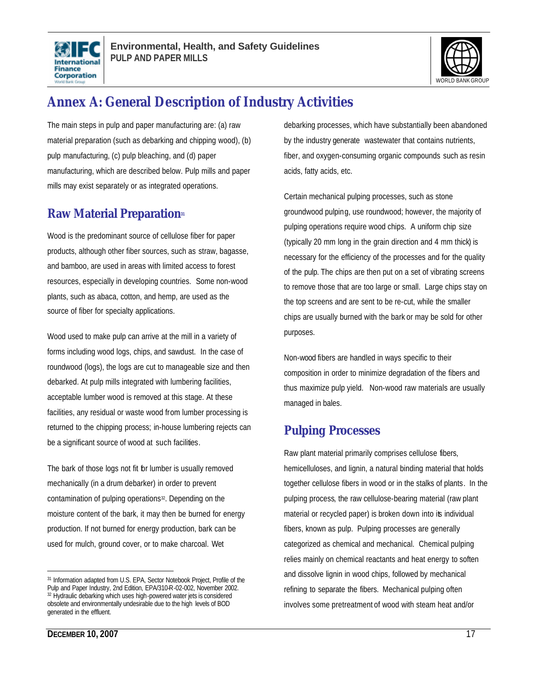



## **Annex A: General Description of Industry Activities**

The main steps in pulp and paper manufacturing are: (a) raw material preparation (such as debarking and chipping wood), (b) pulp manufacturing, (c) pulp bleaching, and (d) paper manufacturing, which are described below. Pulp mills and paper mills may exist separately or as integrated operations.

## **Raw Material Preparation<sup>31</sup>**

Wood is the predominant source of cellulose fiber for paper products, although other fiber sources, such as straw, bagasse, and bamboo, are used in areas with limited access to forest resources, especially in developing countries. Some non-wood plants, such as abaca, cotton, and hemp, are used as the source of fiber for specialty applications.

Wood used to make pulp can arrive at the mill in a variety of forms including wood logs, chips, and sawdust. In the case of roundwood (logs), the logs are cut to manageable size and then debarked. At pulp mills integrated with lumbering facilities, acceptable lumber wood is removed at this stage. At these facilities, any residual or waste wood from lumber processing is returned to the chipping process; in-house lumbering rejects can be a significant source of wood at such facilities.

The bark of those logs not fit for lumber is usually removed mechanically (in a drum debarker) in order to prevent contamination of pulping operations<sup>32</sup>. Depending on the moisture content of the bark, it may then be burned for energy production. If not burned for energy production, bark can be used for mulch, ground cover, or to make charcoal. Wet

31 Information adapted from U.S. EPA, Sector Notebook Project, Profile of the Pulp and Paper Industry, 2nd Edition, EPA/310-R-02-002, November 2002. <sup>32</sup> Hydraulic debarking which uses high-powered water jets is considered obsolete and environmentally undesirable due to the high levels of BOD generated in the effluent.

debarking processes, which have substantially been abandoned by the industry generate wastewater that contains nutrients, fiber, and oxygen-consuming organic compounds such as resin acids, fatty acids, etc.

Certain mechanical pulping processes, such as stone groundwood pulping, use roundwood; however, the majority of pulping operations require wood chips. A uniform chip size (typically 20 mm long in the grain direction and 4 mm thick) is necessary for the efficiency of the processes and for the quality of the pulp. The chips are then put on a set of vibrating screens to remove those that are too large or small. Large chips stay on the top screens and are sent to be re-cut, while the smaller chips are usually burned with the bark or may be sold for other purposes.

Non-wood fibers are handled in ways specific to their composition in order to minimize degradation of the fibers and thus maximize pulp yield. Non-wood raw materials are usually managed in bales.

## **Pulping Processes**

Raw plant material primarily comprises cellulose fibers, hemicelluloses, and lignin, a natural binding material that holds together cellulose fibers in wood or in the stalks of plants. In the pulping process, the raw cellulose-bearing material (raw plant material or recycled paper) is broken down into its individual fibers, known as pulp. Pulping processes are generally categorized as chemical and mechanical. Chemical pulping relies mainly on chemical reactants and heat energy to soften and dissolve lignin in wood chips, followed by mechanical refining to separate the fibers. Mechanical pulping often involves some pretreatment of wood with steam heat and/or

 $\overline{a}$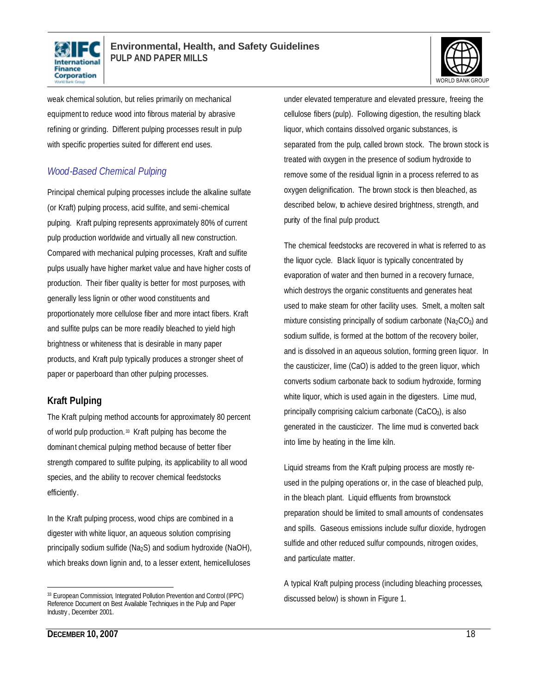



weak chemical solution, but relies primarily on mechanical equipment to reduce wood into fibrous material by abrasive refining or grinding. Different pulping processes result in pulp with specific properties suited for different end uses.

### *Wood-Based Chemical Pulping*

Principal chemical pulping processes include the alkaline sulfate (or Kraft) pulping process, acid sulfite, and semi-chemical pulping. Kraft pulping represents approximately 80% of current pulp production worldwide and virtually all new construction. Compared with mechanical pulping processes, Kraft and sulfite pulps usually have higher market value and have higher costs of production. Their fiber quality is better for most purposes, with generally less lignin or other wood constituents and proportionately more cellulose fiber and more intact fibers. Kraft and sulfite pulps can be more readily bleached to yield high brightness or whiteness that is desirable in many paper products, and Kraft pulp typically produces a stronger sheet of paper or paperboard than other pulping processes.

### **Kraft Pulping**

The Kraft pulping method accounts for approximately 80 percent of world pulp production.<sup>33</sup> Kraft pulping has become the dominant chemical pulping method because of better fiber strength compared to sulfite pulping, its applicability to all wood species, and the ability to recover chemical feedstocks efficiently.

In the Kraft pulping process, wood chips are combined in a digester with white liquor, an aqueous solution comprising principally sodium sulfide (Na2S) and sodium hydroxide (NaOH), which breaks down lignin and, to a lesser extent, hemicelluloses

under elevated temperature and elevated pressure, freeing the cellulose fibers (pulp). Following digestion, the resulting black liquor, which contains dissolved organic substances, is separated from the pulp, called brown stock. The brown stock is treated with oxygen in the presence of sodium hydroxide to remove some of the residual lignin in a process referred to as oxygen delignification. The brown stock is then bleached, as described below, to achieve desired brightness, strength, and purity of the final pulp product.

The chemical feedstocks are recovered in what is referred to as the liquor cycle. Black liquor is typically concentrated by evaporation of water and then burned in a recovery furnace, which destroys the organic constituents and generates heat used to make steam for other facility uses. Smelt, a molten salt mixture consisting principally of sodium carbonate (Na<sub>2</sub>CO<sub>3</sub>) and sodium sulfide, is formed at the bottom of the recovery boiler, and is dissolved in an aqueous solution, forming green liquor. In the causticizer, lime (CaO) is added to the green liquor, which converts sodium carbonate back to sodium hydroxide, forming white liquor, which is used again in the digesters. Lime mud, principally comprising calcium carbonate  $(CaCO<sub>3</sub>)$ , is also generated in the causticizer. The lime mud is converted back into lime by heating in the lime kiln.

Liquid streams from the Kraft pulping process are mostly reused in the pulping operations or, in the case of bleached pulp, in the bleach plant. Liquid effluents from brownstock preparation should be limited to small amounts of condensates and spills. Gaseous emissions include sulfur dioxide, hydrogen sulfide and other reduced sulfur compounds, nitrogen oxides, and particulate matter.

A typical Kraft pulping process (including bleaching processes, discussed below) is shown in Figure 1.

 $\overline{a}$ <sup>33</sup> European Commission, Integrated Pollution Prevention and Control (IPPC) Reference Document on Best Available Techniques in the Pulp and Paper Industry , December 2001.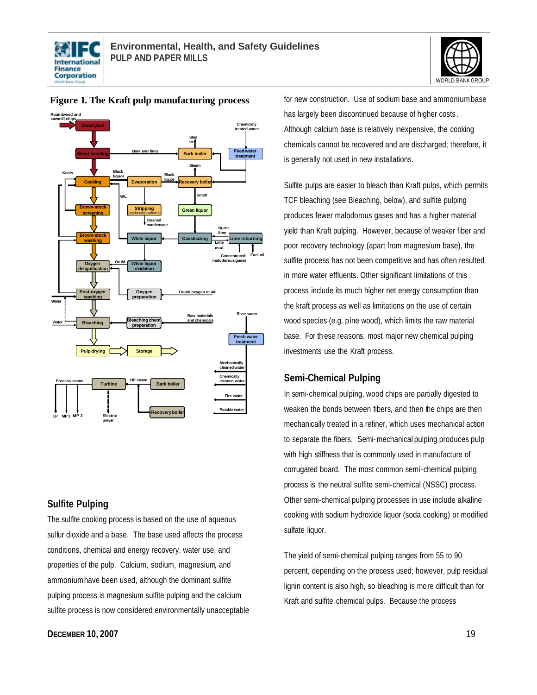





#### **Figure 1. The Kraft pulp manufacturing process**

#### **Sulfite Pulping**

The sulfite cooking process is based on the use of aqueous sulfur dioxide and a base. The base used affects the process conditions, chemical and energy recovery, water use, and properties of the pulp. Calcium, sodium, magnesium, and ammonium have been used, although the dominant sulfite pulping process is magnesium sulfite pulping and the calcium sulfite process is now considered environmentally unacceptable for new construction. Use of sodium base and ammonium base has largely been discontinued because of higher costs. Although calcium base is relatively inexpensive, the cooking chemicals cannot be recovered and are discharged; therefore, it is generally not used in new installations.

Sulfite pulps are easier to bleach than Kraft pulps, which permits TCF bleaching (see Bleaching, below), and sulfite pulping produces fewer malodorous gases and has a higher material yield than Kraft pulping. However, because of weaker fiber and poor recovery technology (apart from magnesium base), the sulfite process has not been competitive and has often resulted in more water effluents. Other significant limitations of this process include its much higher net energy consumption than the kraft process as well as limitations on the use of certain wood species (e.g. pine wood), which limits the raw material base. For th ese reasons, most major new chemical pulping investments use the Kraft process.

#### **Semi-Chemical Pulping**

In semi-chemical pulping, wood chips are partially digested to weaken the bonds between fibers, and then the chips are then mechanically treated in a refiner, which uses mechanical action to separate the fibers. Semi-mechanical pulping produces pulp with high stiffness that is commonly used in manufacture of corrugated board. The most common semi-chemical pulping process is the neutral sulfite semi-chemical (NSSC) process. Other semi-chemical pulping processes in use include alkaline cooking with sodium hydroxide liquor (soda cooking) or modified sulfate liquor.

The yield of semi-chemical pulping ranges from 55 to 90 percent, depending on the process used; however, pulp residual lignin content is also high, so bleaching is more difficult than for Kraft and sulfite chemical pulps. Because the process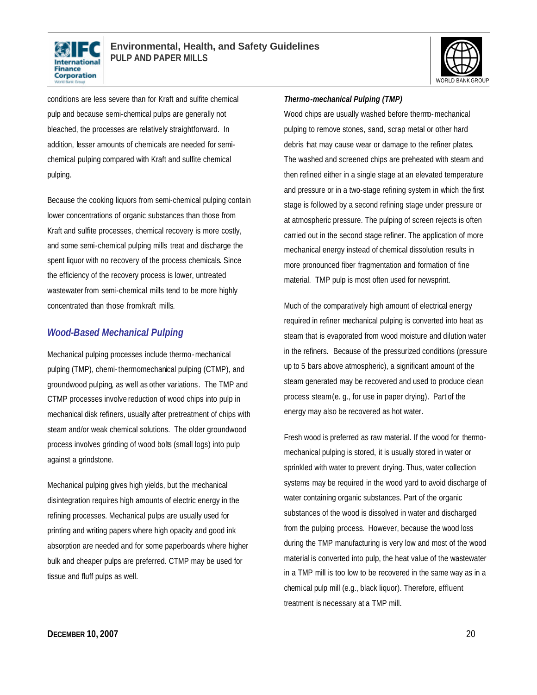



conditions are less severe than for Kraft and sulfite chemical pulp and because semi-chemical pulps are generally not bleached, the processes are relatively straightforward. In addition, lesser amounts of chemicals are needed for semichemical pulping compared with Kraft and sulfite chemical pulping.

Because the cooking liquors from semi-chemical pulping contain lower concentrations of organic substances than those from Kraft and sulfite processes, chemical recovery is more costly, and some semi-chemical pulping mills treat and discharge the spent liquor with no recovery of the process chemicals. Since the efficiency of the recovery process is lower, untreated wastewater from semi-chemical mills tend to be more highly concentrated than those from kraft mills.

### *Wood-Based Mechanical Pulping*

Mechanical pulping processes include thermo-mechanical pulping (TMP), chemi-thermomechanical pulping (CTMP), and groundwood pulping, as well as other variations. The TMP and CTMP processes involve reduction of wood chips into pulp in mechanical disk refiners, usually after pretreatment of chips with steam and/or weak chemical solutions. The older groundwood process involves grinding of wood bolts (small logs) into pulp against a grindstone.

Mechanical pulping gives high yields, but the mechanical disintegration requires high amounts of electric energy in the refining processes. Mechanical pulps are usually used for printing and writing papers where high opacity and good ink absorption are needed and for some paperboards where higher bulk and cheaper pulps are preferred. CTMP may be used for tissue and fluff pulps as well.

#### *Thermo-mechanical Pulping (TMP)*

Wood chips are usually washed before thermo-mechanical pulping to remove stones, sand, scrap metal or other hard debris that may cause wear or damage to the refiner plates. The washed and screened chips are preheated with steam and then refined either in a single stage at an elevated temperature and pressure or in a two-stage refining system in which the first stage is followed by a second refining stage under pressure or at atmospheric pressure. The pulping of screen rejects is often carried out in the second stage refiner. The application of more mechanical energy instead of chemical dissolution results in more pronounced fiber fragmentation and formation of fine material. TMP pulp is most often used for newsprint.

Much of the comparatively high amount of electrical energy required in refiner mechanical pulping is converted into heat as steam that is evaporated from wood moisture and dilution water in the refiners. Because of the pressurized conditions (pressure up to 5 bars above atmospheric), a significant amount of the steam generated may be recovered and used to produce clean process steam(e. g., for use in paper drying). Part of the energy may also be recovered as hot water.

Fresh wood is preferred as raw material. If the wood for thermomechanical pulping is stored, it is usually stored in water or sprinkled with water to prevent drying. Thus, water collection systems may be required in the wood yard to avoid discharge of water containing organic substances. Part of the organic substances of the wood is dissolved in water and discharged from the pulping process. However, because the wood loss during the TMP manufacturing is very low and most of the wood material is converted into pulp, the heat value of the wastewater in a TMP mill is too low to be recovered in the same way as in a chemi cal pulp mill (e.g., black liquor). Therefore, effluent treatment is necessary at a TMP mill.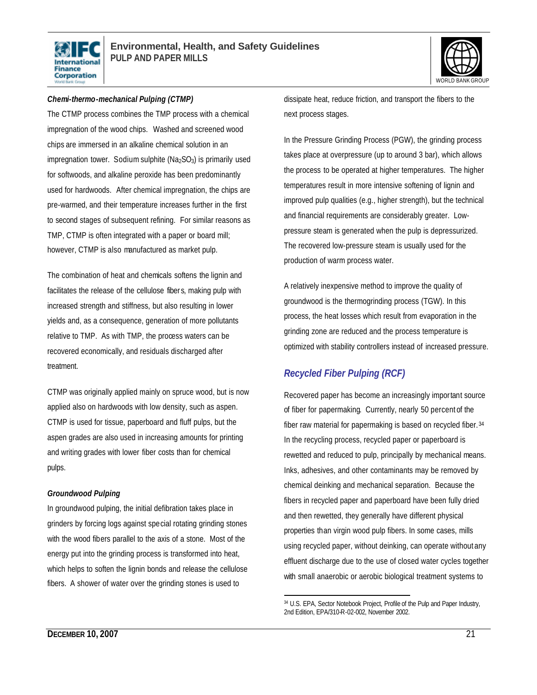



#### *Chemi-thermo-mechanical Pulping (CTMP)*

The CTMP process combines the TMP process with a chemical impregnation of the wood chips. Washed and screened wood chips are immersed in an alkaline chemical solution in an impregnation tower. Sodium sulphite ( $Na<sub>2</sub>SO<sub>3</sub>$ ) is primarily used for softwoods, and alkaline peroxide has been predominantly used for hardwoods. After chemical impregnation, the chips are pre-warmed, and their temperature increases further in the first to second stages of subsequent refining. For similar reasons as TMP, CTMP is often integrated with a paper or board mill; however, CTMP is also manufactured as market pulp.

The combination of heat and chemicals softens the lignin and facilitates the release of the cellulose fiber s, making pulp with increased strength and stiffness, but also resulting in lower yields and, as a consequence, generation of more pollutants relative to TMP. As with TMP, the process waters can be recovered economically, and residuals discharged after treatment.

CTMP was originally applied mainly on spruce wood, but is now applied also on hardwoods with low density, such as aspen. CTMP is used for tissue, paperboard and fluff pulps, but the aspen grades are also used in increasing amounts for printing and writing grades with lower fiber costs than for chemical pulps.

#### *Groundwood Pulping*

In groundwood pulping, the initial defibration takes place in grinders by forcing logs against special rotating grinding stones with the wood fibers parallel to the axis of a stone. Most of the energy put into the grinding process is transformed into heat, which helps to soften the lignin bonds and release the cellulose fibers. A shower of water over the grinding stones is used to

dissipate heat, reduce friction, and transport the fibers to the next process stages.

In the Pressure Grinding Process (PGW), the grinding process takes place at overpressure (up to around 3 bar), which allows the process to be operated at higher temperatures. The higher temperatures result in more intensive softening of lignin and improved pulp qualities (e.g., higher strength), but the technical and financial requirements are considerably greater. Lowpressure steam is generated when the pulp is depressurized. The recovered low-pressure steam is usually used for the production of warm process water.

A relatively inexpensive method to improve the quality of groundwood is the thermogrinding process (TGW). In this process, the heat losses which result from evaporation in the grinding zone are reduced and the process temperature is optimized with stability controllers instead of increased pressure.

### *Recycled Fiber Pulping (RCF)*

Recovered paper has become an increasingly important source of fiber for papermaking. Currently, nearly 50 percent of the fiber raw material for papermaking is based on recycled fiber. <sup>34</sup> In the recycling process, recycled paper or paperboard is rewetted and reduced to pulp, principally by mechanical means. Inks, adhesives, and other contaminants may be removed by chemical deinking and mechanical separation. Because the fibers in recycled paper and paperboard have been fully dried and then rewetted, they generally have different physical properties than virgin wood pulp fibers. In some cases, mills using recycled paper, without deinking, can operate without any effluent discharge due to the use of closed water cycles together with small anaerobic or aerobic biological treatment systems to

 $\overline{a}$ 34 U.S. EPA, Sector Notebook Project, Profile of the Pulp and Paper Industry, 2nd Edition, EPA/310-R-02-002, November 2002.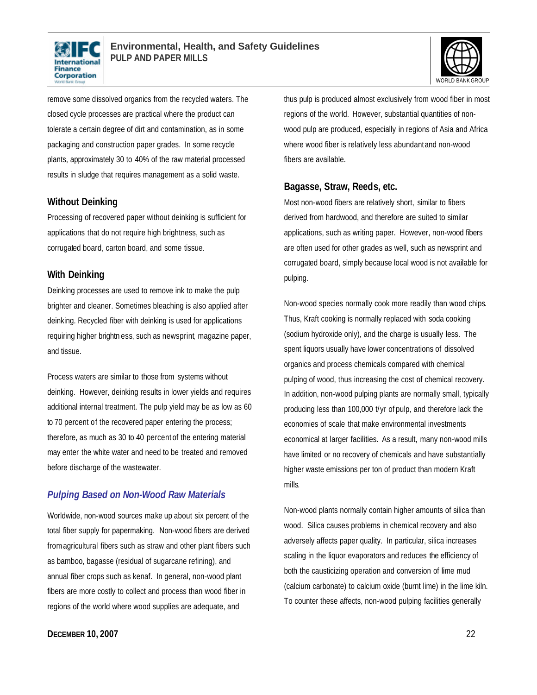



remove some dissolved organics from the recycled waters. The closed cycle processes are practical where the product can tolerate a certain degree of dirt and contamination, as in some packaging and construction paper grades. In some recycle plants, approximately 30 to 40% of the raw material processed results in sludge that requires management as a solid waste.

#### **Without Deinking**

Processing of recovered paper without deinking is sufficient for applications that do not require high brightness, such as corrugated board, carton board, and some tissue.

#### **With Deinking**

Deinking processes are used to remove ink to make the pulp brighter and cleaner. Sometimes bleaching is also applied after deinking. Recycled fiber with deinking is used for applications requiring higher brightn ess, such as newsprint, magazine paper, and tissue.

Process waters are similar to those from systems without deinking. However, deinking results in lower yields and requires additional internal treatment. The pulp yield may be as low as 60 to 70 percent of the recovered paper entering the process; therefore, as much as 30 to 40 percent of the entering material may enter the white water and need to be treated and removed before discharge of the wastewater.

### *Pulping Based on Non-Wood Raw Materials*

Worldwide, non-wood sources make up about six percent of the total fiber supply for papermaking. Non-wood fibers are derived from agricultural fibers such as straw and other plant fibers such as bamboo, bagasse (residual of sugarcane refining), and annual fiber crops such as kenaf. In general, non-wood plant fibers are more costly to collect and process than wood fiber in regions of the world where wood supplies are adequate, and

thus pulp is produced almost exclusively from wood fiber in most regions of the world. However, substantial quantities of nonwood pulp are produced, especially in regions of Asia and Africa where wood fiber is relatively less abundantand non-wood fibers are available.

#### **Bagasse, Straw, Reeds, etc.**

Most non-wood fibers are relatively short, similar to fibers derived from hardwood, and therefore are suited to similar applications, such as writing paper. However, non-wood fibers are often used for other grades as well, such as newsprint and corrugated board, simply because local wood is not available for pulping.

Non-wood species normally cook more readily than wood chips. Thus, Kraft cooking is normally replaced with soda cooking (sodium hydroxide only), and the charge is usually less. The spent liquors usually have lower concentrations of dissolved organics and process chemicals compared with chemical pulping of wood, thus increasing the cost of chemical recovery. In addition, non-wood pulping plants are normally small, typically producing less than 100,000 t/yr of pulp, and therefore lack the economies of scale that make environmental investments economical at larger facilities. As a result, many non-wood mills have limited or no recovery of chemicals and have substantially higher waste emissions per ton of product than modern Kraft mills.

Non-wood plants normally contain higher amounts of silica than wood. Silica causes problems in chemical recovery and also adversely affects paper quality. In particular, silica increases scaling in the liquor evaporators and reduces the efficiency of both the causticizing operation and conversion of lime mud (calcium carbonate) to calcium oxide (burnt lime) in the lime kiln. To counter these affects, non-wood pulping facilities generally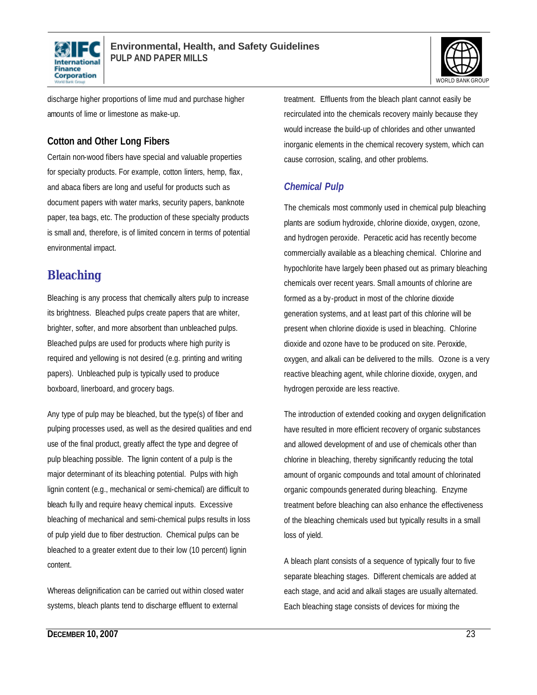



discharge higher proportions of lime mud and purchase higher amounts of lime or limestone as make-up.

#### **Cotton and Other Long Fibers**

Certain non-wood fibers have special and valuable properties for specialty products. For example, cotton linters, hemp, flax, and abaca fibers are long and useful for products such as document papers with water marks, security papers, banknote paper, tea bags, etc. The production of these specialty products is small and, therefore, is of limited concern in terms of potential environmental impact.

## **Bleaching**

Bleaching is any process that chemically alters pulp to increase its brightness. Bleached pulps create papers that are whiter, brighter, softer, and more absorbent than unbleached pulps. Bleached pulps are used for products where high purity is required and yellowing is not desired (e.g. printing and writing papers). Unbleached pulp is typically used to produce boxboard, linerboard, and grocery bags.

Any type of pulp may be bleached, but the type(s) of fiber and pulping processes used, as well as the desired qualities and end use of the final product, greatly affect the type and degree of pulp bleaching possible. The lignin content of a pulp is the major determinant of its bleaching potential. Pulps with high lignin content (e.g., mechanical or semi-chemical) are difficult to bleach fu lly and require heavy chemical inputs. Excessive bleaching of mechanical and semi-chemical pulps results in loss of pulp yield due to fiber destruction. Chemical pulps can be bleached to a greater extent due to their low (10 percent) lignin content.

Whereas delignification can be carried out within closed water systems, bleach plants tend to discharge effluent to external

treatment. Effluents from the bleach plant cannot easily be recirculated into the chemicals recovery mainly because they would increase the build-up of chlorides and other unwanted inorganic elements in the chemical recovery system, which can cause corrosion, scaling, and other problems.

### *Chemical Pulp*

The chemicals most commonly used in chemical pulp bleaching plants are sodium hydroxide, chlorine dioxide, oxygen, ozone, and hydrogen peroxide. Peracetic acid has recently become commercially available as a bleaching chemical. Chlorine and hypochlorite have largely been phased out as primary bleaching chemicals over recent years. Small amounts of chlorine are formed as a by-product in most of the chlorine dioxide generation systems, and at least part of this chlorine will be present when chlorine dioxide is used in bleaching. Chlorine dioxide and ozone have to be produced on site. Peroxide, oxygen, and alkali can be delivered to the mills. Ozone is a very reactive bleaching agent, while chlorine dioxide, oxygen, and hydrogen peroxide are less reactive.

The introduction of extended cooking and oxygen delignification have resulted in more efficient recovery of organic substances and allowed development of and use of chemicals other than chlorine in bleaching, thereby significantly reducing the total amount of organic compounds and total amount of chlorinated organic compounds generated during bleaching. Enzyme treatment before bleaching can also enhance the effectiveness of the bleaching chemicals used but typically results in a small loss of yield.

A bleach plant consists of a sequence of typically four to five separate bleaching stages. Different chemicals are added at each stage, and acid and alkali stages are usually alternated. Each bleaching stage consists of devices for mixing the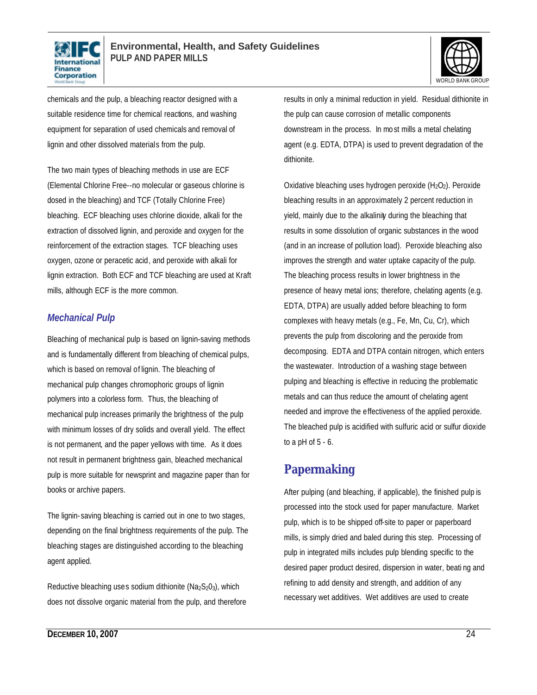



chemicals and the pulp, a bleaching reactor designed with a suitable residence time for chemical reactions, and washing equipment for separation of used chemicals and removal of lignin and other dissolved materials from the pulp.

The two main types of bleaching methods in use are ECF (Elemental Chlorine Free--no molecular or gaseous chlorine is dosed in the bleaching) and TCF (Totally Chlorine Free) bleaching. ECF bleaching uses chlorine dioxide, alkali for the extraction of dissolved lignin, and peroxide and oxygen for the reinforcement of the extraction stages. TCF bleaching uses oxygen, ozone or peracetic acid, and peroxide with alkali for lignin extraction. Both ECF and TCF bleaching are used at Kraft mills, although ECF is the more common.

#### *Mechanical Pulp*

Bleaching of mechanical pulp is based on lignin-saving methods and is fundamentally different from bleaching of chemical pulps, which is based on removal of lignin. The bleaching of mechanical pulp changes chromophoric groups of lignin polymers into a colorless form. Thus, the bleaching of mechanical pulp increases primarily the brightness of the pulp with minimum losses of dry solids and overall yield. The effect is not permanent, and the paper yellows with time. As it does not result in permanent brightness gain, bleached mechanical pulp is more suitable for newsprint and magazine paper than for books or archive papers.

The lignin- saving bleaching is carried out in one to two stages, depending on the final brightness requirements of the pulp. The bleaching stages are distinguished according to the bleaching agent applied.

Reductive bleaching uses sodium dithionite ( $Na<sub>2</sub>S<sub>2</sub>O<sub>3</sub>$ ), which does not dissolve organic material from the pulp, and therefore results in only a minimal reduction in yield. Residual dithionite in the pulp can cause corrosion of metallic components downstream in the process. In mo st mills a metal chelating agent (e.g. EDTA, DTPA) is used to prevent degradation of the dithionite.

Oxidative bleaching uses hydrogen peroxide  $(H_2O_2)$ . Peroxide bleaching results in an approximately 2 percent reduction in yield, mainly due to the alkalinity during the bleaching that results in some dissolution of organic substances in the wood (and in an increase of pollution load). Peroxide bleaching also improves the strength and water uptake capacity of the pulp. The bleaching process results in lower brightness in the presence of heavy metal ions; therefore, chelating agents (e.g. EDTA, DTPA) are usually added before bleaching to form complexes with heavy metals (e.g., Fe, Mn, Cu, Cr), which prevents the pulp from discoloring and the peroxide from decomposing. EDTA and DTPA contain nitrogen, which enters the wastewater. Introduction of a washing stage between pulping and bleaching is effective in reducing the problematic metals and can thus reduce the amount of chelating agent needed and improve the effectiveness of the applied peroxide. The bleached pulp is acidified with sulfuric acid or sulfur dioxide to a pH of 5 - 6.

## **Papermaking**

After pulping (and bleaching, if applicable), the finished pulp is processed into the stock used for paper manufacture. Market pulp, which is to be shipped off-site to paper or paperboard mills, is simply dried and baled during this step. Processing of pulp in integrated mills includes pulp blending specific to the desired paper product desired, dispersion in water, beati ng and refining to add density and strength, and addition of any necessary wet additives. Wet additives are used to create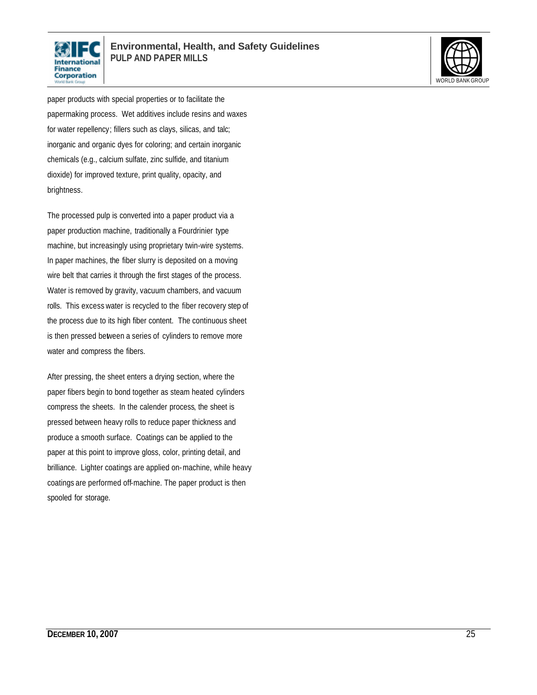



paper products with special properties or to facilitate the papermaking process. Wet additives include resins and waxes for water repellency; fillers such as clays, silicas, and talc; inorganic and organic dyes for coloring; and certain inorganic chemicals (e.g., calcium sulfate, zinc sulfide, and titanium dioxide) for improved texture, print quality, opacity, and brightness.

The processed pulp is converted into a paper product via a paper production machine, traditionally a Fourdrinier type machine, but increasingly using proprietary twin-wire systems. In paper machines, the fiber slurry is deposited on a moving wire belt that carries it through the first stages of the process. Water is removed by gravity, vacuum chambers, and vacuum rolls. This excess water is recycled to the fiber recovery step of the process due to its high fiber content. The continuous sheet is then pressed between a series of cylinders to remove more water and compress the fibers.

After pressing, the sheet enters a drying section, where the paper fibers begin to bond together as steam heated cylinders compress the sheets. In the calender process, the sheet is pressed between heavy rolls to reduce paper thickness and produce a smooth surface. Coatings can be applied to the paper at this point to improve gloss, color, printing detail, and brilliance. Lighter coatings are applied on-machine, while heavy coatings are performed off-machine. The paper product is then spooled for storage.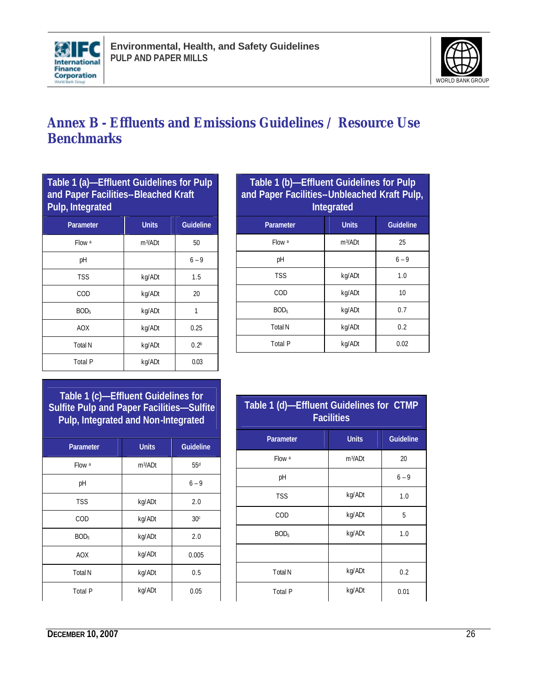



## **Annex B - Effluents and Emissions Guidelines / Resource Use Benchmarks**

| Table 1 (a)-Effluent Guidelines for Pulp<br>and Paper Facilities--Bleached Kraft<br>Pulp, Integrated |                     |                  |  |  |
|------------------------------------------------------------------------------------------------------|---------------------|------------------|--|--|
| <b>Units</b><br><b>Guideline</b><br>Parameter                                                        |                     |                  |  |  |
| Flow a                                                                                               | m <sup>3</sup> /ADt | 50               |  |  |
| рH                                                                                                   |                     | $6 - 9$          |  |  |
| <b>TSS</b>                                                                                           | kg/ADt              | 1.5              |  |  |
| COD                                                                                                  | kg/ADt              | 20               |  |  |
| BOD <sub>5</sub>                                                                                     | kg/ADt              | 1                |  |  |
| <b>AOX</b>                                                                                           | kg/ADt              | 0.25             |  |  |
| <b>Total N</b>                                                                                       | kg/ADt              | 0.2 <sup>b</sup> |  |  |
| <b>Total P</b>                                                                                       | kg/ADt              | 0.03             |  |  |

| Table 1 (b)-Effluent Guidelines for Pulp<br>and Paper Facilities--Unbleached Kraft Pulp,<br><b>Integrated</b> |            |         |  |
|---------------------------------------------------------------------------------------------------------------|------------|---------|--|
| <b>Guideline</b><br><b>Units</b><br>Parameter                                                                 |            |         |  |
| Flow a                                                                                                        | $m^3$ /ADt | 25      |  |
| рH                                                                                                            |            | $6 - 9$ |  |
| <b>TSS</b>                                                                                                    | kg/ADt     | 1.0     |  |
| COD                                                                                                           | kg/ADt     | 10      |  |
| BOD <sub>5</sub>                                                                                              | kg/ADt     | 0.7     |  |
| <b>Total N</b>                                                                                                | kg/ADt     | 0.2     |  |
| Total P                                                                                                       | kg/ADt     | 0.02    |  |

**Table 1 (c)—Effluent Guidelines for Sulfite Pulp and Paper Facilities—Sulfite Pulp, Integrated and Non-Integrated**

| <b>Parameter</b> | <b>Units</b>        | <b>Guideline</b> |
|------------------|---------------------|------------------|
| Flow a           | m <sup>3</sup> /ADt | 55 <sup>d</sup>  |
| pH               |                     | $6 - 9$          |
| <b>TSS</b>       | kg/ADt              | 2.0              |
| COD              | kg/ADt              | 30 <sup>c</sup>  |
| BOD <sub>5</sub> | kg/ADt              | 2.0              |
| <b>AOX</b>       | kg/ADt              | 0.005            |
| <b>Total N</b>   | kg/ADt              | 0.5              |
| <b>Total P</b>   | kg/ADt              | 0.05             |

| Table 1 (d)-Effluent Guidelines for CTMP<br><b>Facilities</b> |              |                  |  |
|---------------------------------------------------------------|--------------|------------------|--|
| <b>Parameter</b>                                              | <b>Units</b> | <b>Guideline</b> |  |
| Flow a                                                        | $m^3$ /ADt   | 20               |  |
| рH                                                            |              | $6 - 9$          |  |
| <b>TSS</b>                                                    | kg/ADt       | 1.0              |  |
| COD                                                           | kg/ADt       | 5                |  |
| BOD <sub>5</sub>                                              | kg/ADt       | 1.0              |  |
|                                                               |              |                  |  |
| <b>Total N</b>                                                | kg/ADt       | 0.2              |  |
| <b>Total P</b>                                                | kg/ADt       | 0.01             |  |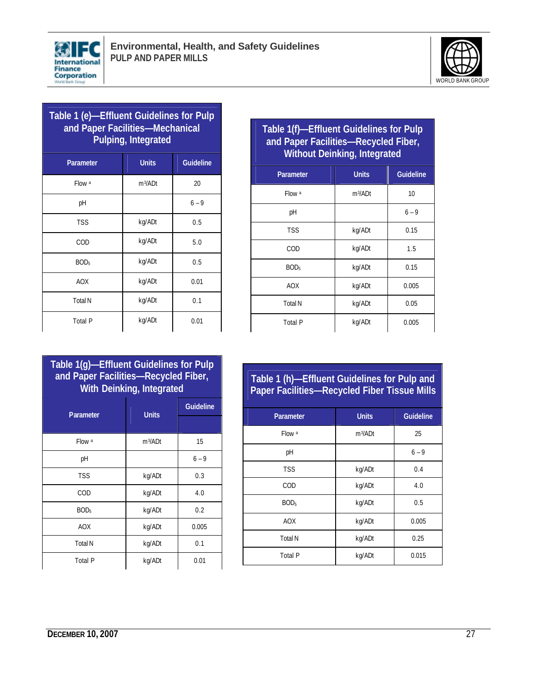



| Table 1 (e)-Effluent Guidelines for Pulp<br>and Paper Facilities-Mechanical<br><b>Pulping, Integrated</b> |                     |                  |
|-----------------------------------------------------------------------------------------------------------|---------------------|------------------|
| Parameter                                                                                                 | <b>Units</b>        | <b>Guideline</b> |
| Flow a                                                                                                    | m <sup>3</sup> /ADt | 20               |
| рH                                                                                                        |                     | $6 - 9$          |
| <b>TSS</b>                                                                                                | kg/ADt              | 0.5              |
| COD                                                                                                       | kg/ADt              | 5.0              |
| BOD <sub>5</sub>                                                                                          | kg/ADt              | 0.5              |
| <b>AOX</b>                                                                                                | kg/ADt              | 0.01             |
| <b>Total N</b>                                                                                            | kg/ADt              | 0.1              |
| <b>Total P</b>                                                                                            | kg/ADt              | 0.01             |

| Table 1(f)-Effluent Guidelines for Pulp |
|-----------------------------------------|
| and Paper Facilities-Recycled Fiber,    |
| <b>Without Deinking, Integrated</b>     |

| <b>Parameter</b> | <b>Units</b> | <b>Guideline</b> |
|------------------|--------------|------------------|
|                  |              |                  |
| Flow a           | $m^3$ /ADt   | 10               |
| pH               |              | $6 - 9$          |
| <b>TSS</b>       | kg/ADt       | 0.15             |
| COD              | kg/ADt       | 1.5              |
| BOD <sub>5</sub> | kg/ADt       | 0.15             |
| <b>AOX</b>       | kg/ADt       | 0.005            |
| <b>Total N</b>   | kg/ADt       | 0.05             |
| <b>Total P</b>   | kg/ADt       | 0.005            |

### **Table 1(g)—Effluent Guidelines for Pulp and Paper Facilities—Recycled Fiber, With Deinking, Integrated**

| Parameter        | <b>Units</b> | <b>Guideline</b> |
|------------------|--------------|------------------|
|                  |              |                  |
| Flow a           | $m^3$ /ADt   | 15               |
| pH               |              | $6 - 9$          |
| <b>TSS</b>       | kg/ADt       | 0.3              |
| COD              | kg/ADt       | 4.0              |
| BOD <sub>5</sub> | kg/ADt       | 0.2              |
| <b>AOX</b>       | kg/ADt       | 0.005            |
| <b>Total N</b>   | kg/ADt       | 0.1              |
| <b>Total P</b>   | kg/ADt       | 0.01             |

### **Table 1 (h)—Effluent Guidelines for Pulp and Paper Facilities—Recycled Fiber Tissue Mills**

| <b>Parameter</b> | <b>Units</b>        | <b>Guideline</b> |
|------------------|---------------------|------------------|
| Flow a           | m <sup>3</sup> /ADt | 25               |
| pH               |                     | $6 - 9$          |
| <b>TSS</b>       | kg/ADt              | 0.4              |
| COD              | kg/ADt              | 4.0              |
| BOD <sub>5</sub> | kg/ADt              | 0.5              |
| <b>AOX</b>       | kg/ADt              | 0.005            |
| <b>Total N</b>   | kg/ADt              | 0.25             |
| <b>Total P</b>   | kg/ADt              | 0.015            |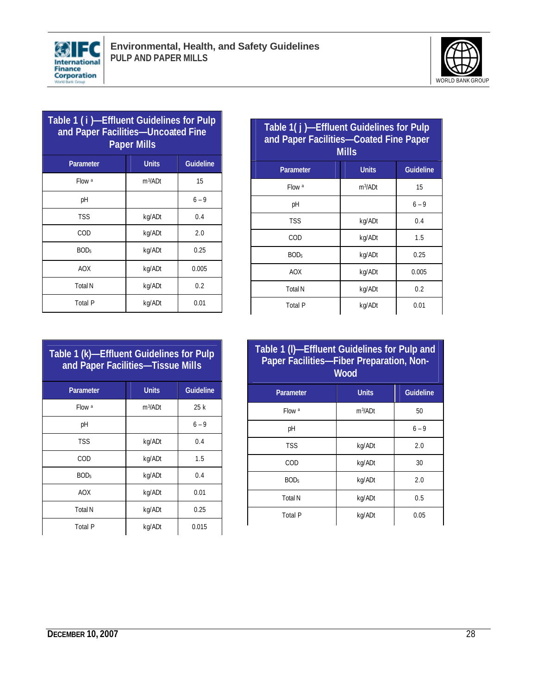



| Table 1 (i)-Effluent Guidelines for Pulp<br>and Paper Facilities-Uncoated Fine<br><b>Paper Mills</b> |                     |         |  |
|------------------------------------------------------------------------------------------------------|---------------------|---------|--|
| <b>Guideline</b><br><b>Units</b><br>Parameter                                                        |                     |         |  |
| Flow a                                                                                               | m <sup>3</sup> /ADt | 15      |  |
| рH                                                                                                   |                     | $6 - 9$ |  |
| <b>TSS</b>                                                                                           | kg/ADt              | 0.4     |  |
| COD                                                                                                  | kg/ADt              | 2.0     |  |
| BOD <sub>5</sub>                                                                                     | kg/ADt              | 0.25    |  |
| <b>AOX</b>                                                                                           | kg/ADt              | 0.005   |  |
| <b>Total N</b>                                                                                       | kg/ADt              | 0.2     |  |
| <b>Total P</b>                                                                                       | kg/ADt              | 0.01    |  |

| Table 1(j)-Effluent Guidelines for Pulp<br>and Paper Facilities-Coated Fine Paper<br><b>Mills</b> |            |         |  |
|---------------------------------------------------------------------------------------------------|------------|---------|--|
| <b>Guideline</b><br><b>Units</b><br>Parameter                                                     |            |         |  |
| Flow a                                                                                            | $m^3$ /ADt | 15      |  |
| рH                                                                                                |            | $6 - 9$ |  |
| <b>TSS</b>                                                                                        | kg/ADt     | 0.4     |  |
| COD                                                                                               | kg/ADt     | 1.5     |  |
| BOD <sub>5</sub>                                                                                  | kg/ADt     | 0.25    |  |
| <b>AOX</b>                                                                                        | kg/ADt     | 0.005   |  |
| <b>Total N</b>                                                                                    | kg/ADt     | 0.2     |  |
| Total P                                                                                           | kg/ADt     | 0.01    |  |

| Table 1 (k)—Effluent Guidelines for Pulp |  |
|------------------------------------------|--|
| and Paper Facilities—Tissue Mills        |  |

| <b>Parameter</b> | <b>Units</b>        | <b>Guideline</b> |
|------------------|---------------------|------------------|
| Flow a           | m <sup>3</sup> /ADt | 25k              |
| pH               |                     | $6 - 9$          |
| <b>TSS</b>       | kg/ADt              | 0.4              |
| COD              | kg/ADt              | 1.5              |
| BOD <sub>5</sub> | kg/ADt              | 0.4              |
| <b>AOX</b>       | kg/ADt              | 0.01             |
| <b>Total N</b>   | kg/ADt              | 0.25             |
| <b>Total P</b>   | kg/ADt              | 0.015            |
|                  |                     |                  |

| Table 1 (I)-Effluent Guidelines for Pulp and<br>Paper Facilities-Fiber Preparation, Non-<br><b>Wood</b> |              |                  |  |  |
|---------------------------------------------------------------------------------------------------------|--------------|------------------|--|--|
| Parameter                                                                                               | <b>Units</b> | <b>Guideline</b> |  |  |
| Flow a                                                                                                  | $m^3$ /ADt   | 50               |  |  |
| рH                                                                                                      |              | $6 - 9$          |  |  |
| <b>TSS</b>                                                                                              | kg/ADt       | 2.0              |  |  |
| COD                                                                                                     | kg/ADt       | 30               |  |  |
| BOD <sub>5</sub>                                                                                        | kg/ADt       | 2.0              |  |  |
| <b>Total N</b>                                                                                          | kg/ADt       | 0.5              |  |  |
| Total P                                                                                                 | kg/ADt       | 0.05             |  |  |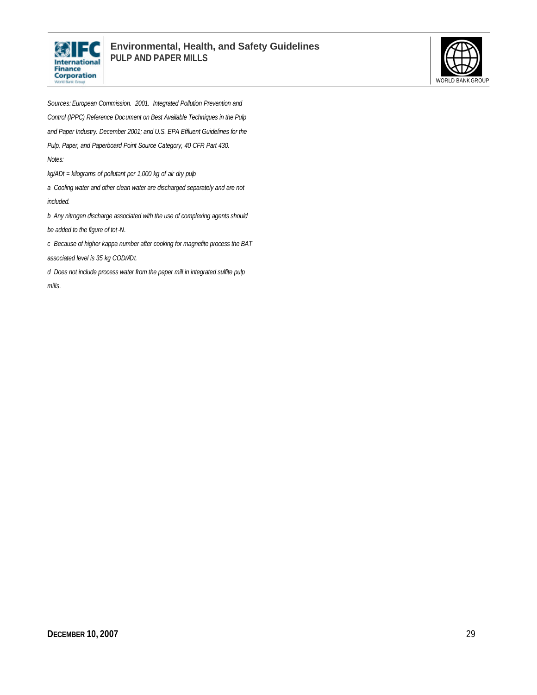



*Sources: European Commission. 2001. Integrated Pollution Prevention and Control (IPPC) Reference Document on Best Available Techniques in the Pulp and Paper Industry. December 2001; and U.S. EPA Effluent Guidelines for the Pulp, Paper, and Paperboard Point Source Category, 40 CFR Part 430. Notes: kg/ADt = kilograms of pollutant per 1,000 kg of air dry pulp a Cooling water and other clean water are discharged separately and are not included. b Any nitrogen discharge associated with the use of complexing agents should be added to the figure of tot -N.*

*c Because of higher kappa number after cooking for magnefite process the BAT* 

*associated level is 35 kg COD/ADt.*

*d Does not include process water from the paper mill in integrated sulfite pulp mills.*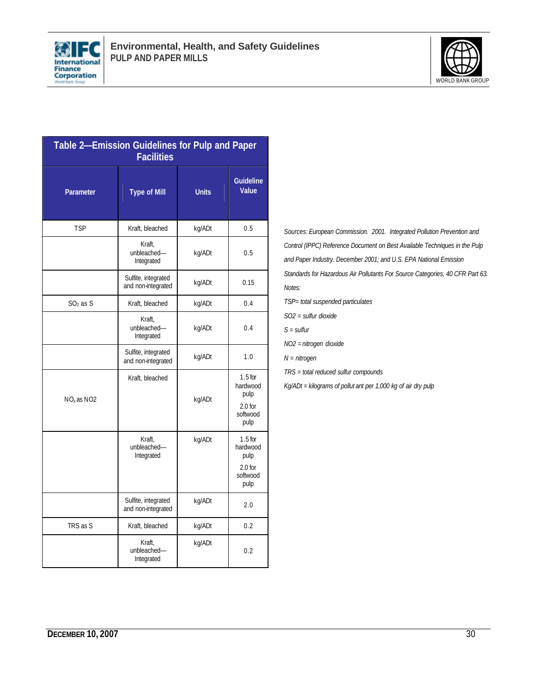



| Table 2-Emission Guidelines for Pulp and Paper<br><b>Facilities</b> |                                           |              |                                                                |  |
|---------------------------------------------------------------------|-------------------------------------------|--------------|----------------------------------------------------------------|--|
| <b>Parameter</b>                                                    | <b>Type of Mill</b>                       | <b>Units</b> | <b>Guideline</b><br><b>Value</b>                               |  |
| TSP                                                                 | Kraft, bleached                           | kg/ADt       | 0.5                                                            |  |
|                                                                     | Kraft,<br>unbleached-<br>Integrated       | kg/ADt       | 0.5                                                            |  |
|                                                                     | Sulfite, integrated<br>and non-integrated | kg/ADt       | 0.15                                                           |  |
| $SO2$ as S                                                          | Kraft, bleached                           | kg/ADt       | 0.4                                                            |  |
|                                                                     | Kraft.<br>unbleached-<br>Integrated       | kg/ADt       | 0.4                                                            |  |
|                                                                     | Sulfite, integrated<br>and non-integrated | kg/ADt       | 1.0                                                            |  |
| $NOx$ as $NO2$                                                      | Kraft, bleached                           | kg/ADt       | $1.5$ for<br>hardwood<br>pulp<br>$2.0$ for<br>softwood<br>pulp |  |
|                                                                     | Kraft,<br>unbleached-<br>Integrated       | kg/ADt       | $1.5$ for<br>hardwood<br>pulp<br>$2.0$ for<br>softwood<br>pulp |  |
|                                                                     | Sulfite, integrated<br>and non-integrated | kg/ADt       | 2.0                                                            |  |
| TRS as S                                                            | Kraft, bleached                           | kg/ADt       | 0.2                                                            |  |
|                                                                     | Kraft,<br>unbleached-<br>Integrated       | kg/ADt       | 0.2                                                            |  |

*Sources: European Commission. 2001. Integrated Pollution Prevention and Control (IPPC) Reference Document on Best Available Techniques in the Pulp and Paper Industry. December 2001; and U.S. EPA National Emission Standards for Hazardous Air Pollutants For Source Categories, 40 CFR Part 63. Notes:*

- *TSP= total suspended particulates*
- *SO2 = sulfur dioxide*
- *S = sulfur*
- *NO2 = nitrogen dioxide*

*N = nitrogen*

*TRS = total reduced sulfur compounds*

*Kg/ADt = kilograms of pollut ant per 1,000 kg of air dry pulp*